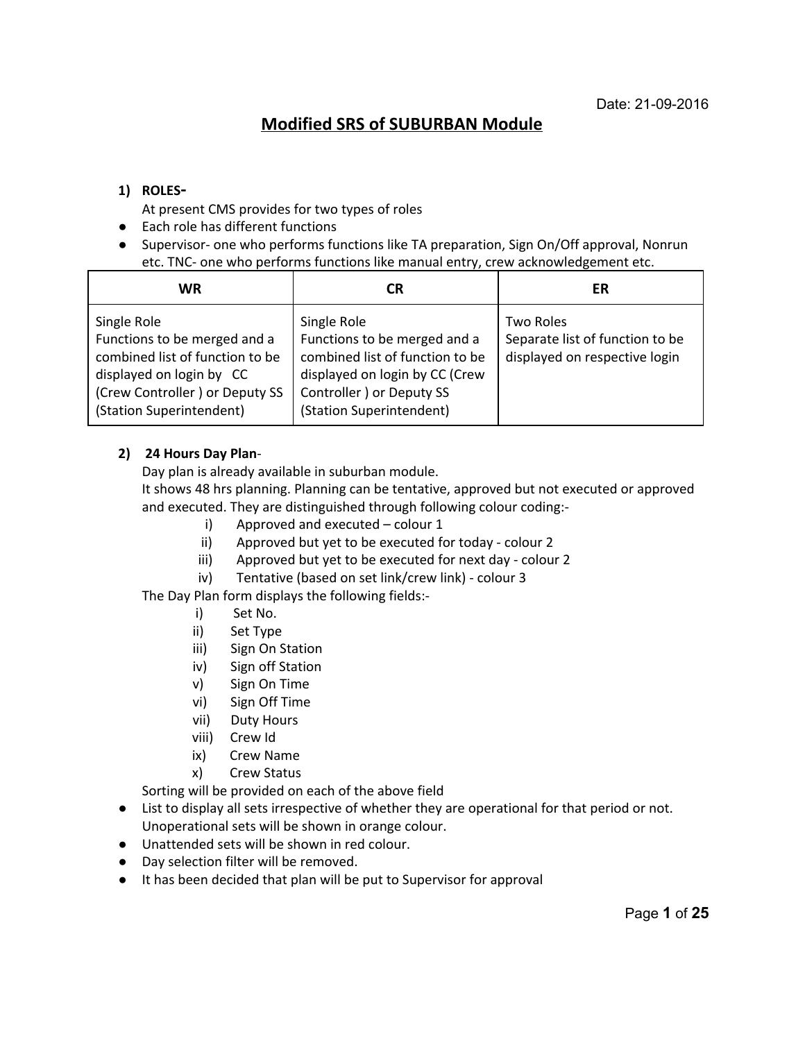# **Modified SRS of SUBURBAN Module**

## **1) ROLES**

At present CMS provides for two types of roles

- Each role has different functions
- Supervisor- one who performs functions like TA preparation, Sign On/Off approval, Nonrun etc. TNC- one who performs functions like manual entry, crew acknowledgement etc.

| WR                                                                                                                                                                       | СR                                                                                                                                                                        | ER                                                                                   |
|--------------------------------------------------------------------------------------------------------------------------------------------------------------------------|---------------------------------------------------------------------------------------------------------------------------------------------------------------------------|--------------------------------------------------------------------------------------|
| Single Role<br>Functions to be merged and a<br>combined list of function to be<br>displayed on login by CC<br>(Crew Controller) or Deputy SS<br>(Station Superintendent) | Single Role<br>Functions to be merged and a<br>combined list of function to be<br>displayed on login by CC (Crew<br>Controller ) or Deputy SS<br>(Station Superintendent) | <b>Two Roles</b><br>Separate list of function to be<br>displayed on respective login |

#### **2) 24 Hours Day Plan**

Day plan is already available in suburban module.

It shows 48 hrs planning. Planning can be tentative, approved but not executed or approved and executed. They are distinguished through following colour coding:

- i) Approved and executed colour 1
- ii) Approved but yet to be executed for today colour 2
- iii) Approved but yet to be executed for next day colour 2
- iv) Tentative (based on set link/crew link) colour 3

The Day Plan form displays the following fields:

- i) Set No.
- ii) Set Type
- iii) Sign On Station
- iv) Sign off Station
- v) Sign On Time
- vi) Sign Off Time
- vii) Duty Hours
- viii) Crew Id
- ix) Crew Name
- x) Crew Status

Sorting will be provided on each of the above field

- List to display all sets irrespective of whether they are operational for that period or not. Unoperational sets will be shown in orange colour.
- Unattended sets will be shown in red colour.
- Day selection filter will be removed.
- It has been decided that plan will be put to Supervisor for approval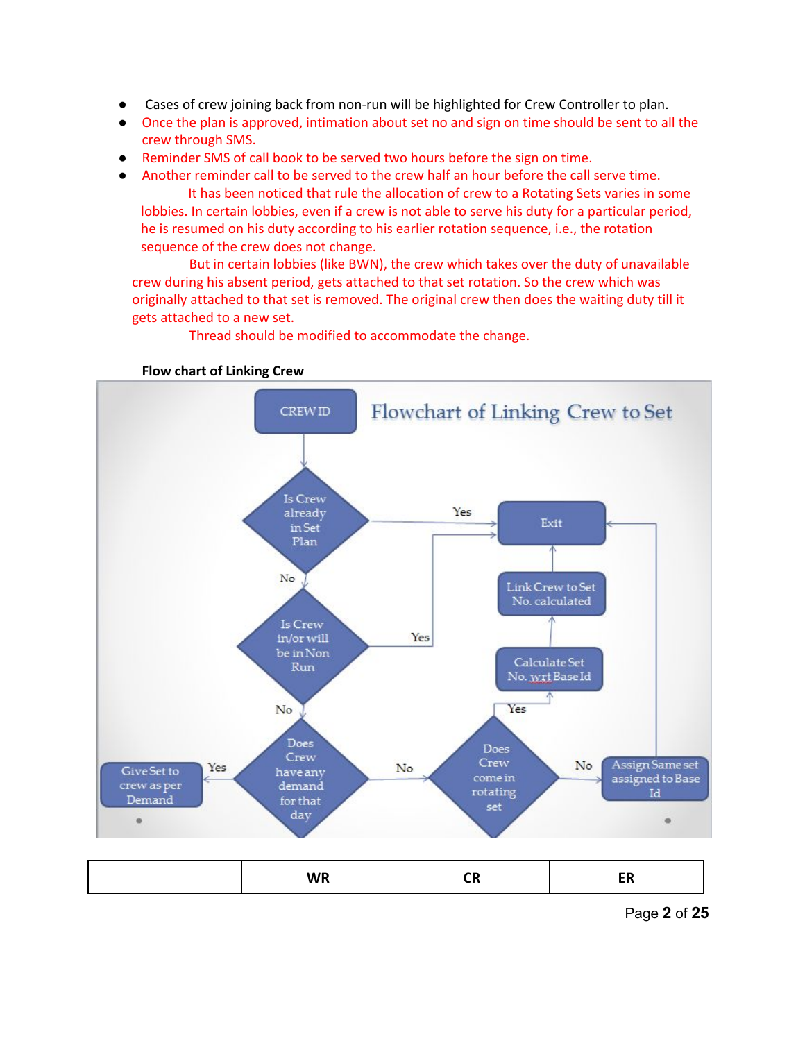- Cases of crew joining back from non-run will be highlighted for Crew Controller to plan.
- Once the plan is approved, intimation about set no and sign on time should be sent to all the crew through SMS.
- Reminder SMS of call book to be served two hours before the sign on time.
- Another reminder call to be served to the crew half an hour before the call serve time.

It has been noticed that rule the allocation of crew to a Rotating Sets varies in some lobbies. In certain lobbies, even if a crew is not able to serve his duty for a particular period, he is resumed on his duty according to his earlier rotation sequence, i.e., the rotation sequence of the crew does not change.

But in certain lobbies (like BWN), the crew which takes over the duty of unavailable crew during his absent period, gets attached to that set rotation. So the crew which was originally attached to that set is removed. The original crew then does the waiting duty till it gets attached to a new set.

Thread should be modified to accommodate the change.



**Flow chart of Linking Crew**

Page **2** of **25**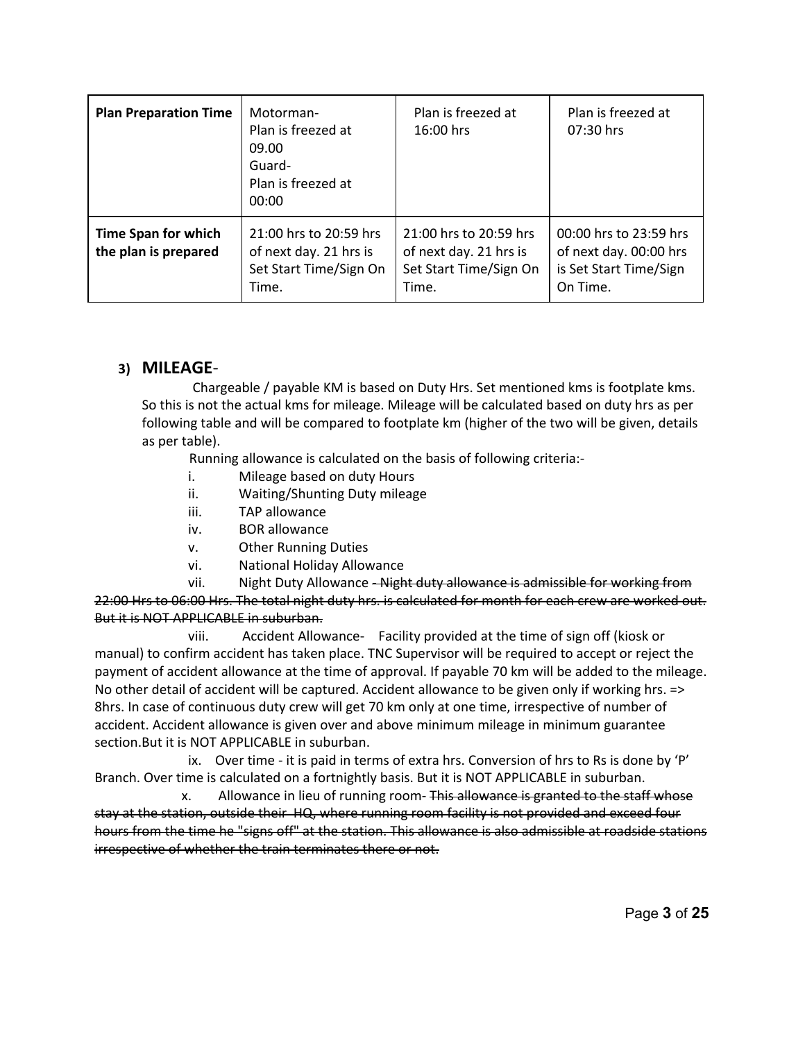| <b>Plan Preparation Time</b>                       | Motorman-<br>Plan is freezed at<br>09.00<br>Guard-<br>Plan is freezed at<br>00:00   | Plan is freezed at<br>16:00 hrs                                                     | Plan is freezed at<br>07:30 hrs                                                        |
|----------------------------------------------------|-------------------------------------------------------------------------------------|-------------------------------------------------------------------------------------|----------------------------------------------------------------------------------------|
| <b>Time Span for which</b><br>the plan is prepared | 21:00 hrs to 20:59 hrs<br>of next day. 21 hrs is<br>Set Start Time/Sign On<br>Time. | 21:00 hrs to 20:59 hrs<br>of next day. 21 hrs is<br>Set Start Time/Sign On<br>Time. | 00:00 hrs to 23:59 hrs<br>of next day. 00:00 hrs<br>is Set Start Time/Sign<br>On Time. |

## **3) MILEAGE**

 Chargeable / payable KM is based on Duty Hrs. Set mentioned kms is footplate kms. So this is not the actual kms for mileage. Mileage will be calculated based on duty hrs as per following table and will be compared to footplate km (higher of the two will be given, details as per table).

Running allowance is calculated on the basis of following criteria:

- i. Mileage based on duty Hours
- Waiting/Shunting Duty mileage
- iii. TAP allowance
- iv. BOR allowance
- v. Other Running Duties
- vi. National Holiday Allowance

vii. Night Duty Allowance - Night duty allowance is admissible for working from 22:00 Hrs to 06:00 Hrs. The total night duty hrs. is calculated for month for each crew are worked out. But it is NOT APPLICABLE in suburban.

viii. Accident Allowance- Facility provided at the time of sign off (kiosk or manual) to confirm accident has taken place. TNC Supervisor will be required to accept or reject the payment of accident allowance at the time of approval. If payable 70 km will be added to the mileage. No other detail of accident will be captured. Accident allowance to be given only if working hrs. => 8hrs. In case of continuous duty crew will get 70 km only at one time, irrespective of number of accident. Accident allowance is given over and above minimum mileage in minimum guarantee section.But it is NOT APPLICABLE in suburban.

ix. Over time - it is paid in terms of extra hrs. Conversion of hrs to Rs is done by  $\rm P'$ Branch. Over time is calculated on a fortnightly basis. But it is NOT APPLICABLE in suburban.

x. Allowance in lieu of running room- This allowance is granted to the staff whose stay at the station, outside their HQ, where running room facility is not provided and exceed four hours from the time he "signs off" at the station. This allowance is also admissible at roadside stations irrespective of whether the train terminates there or not.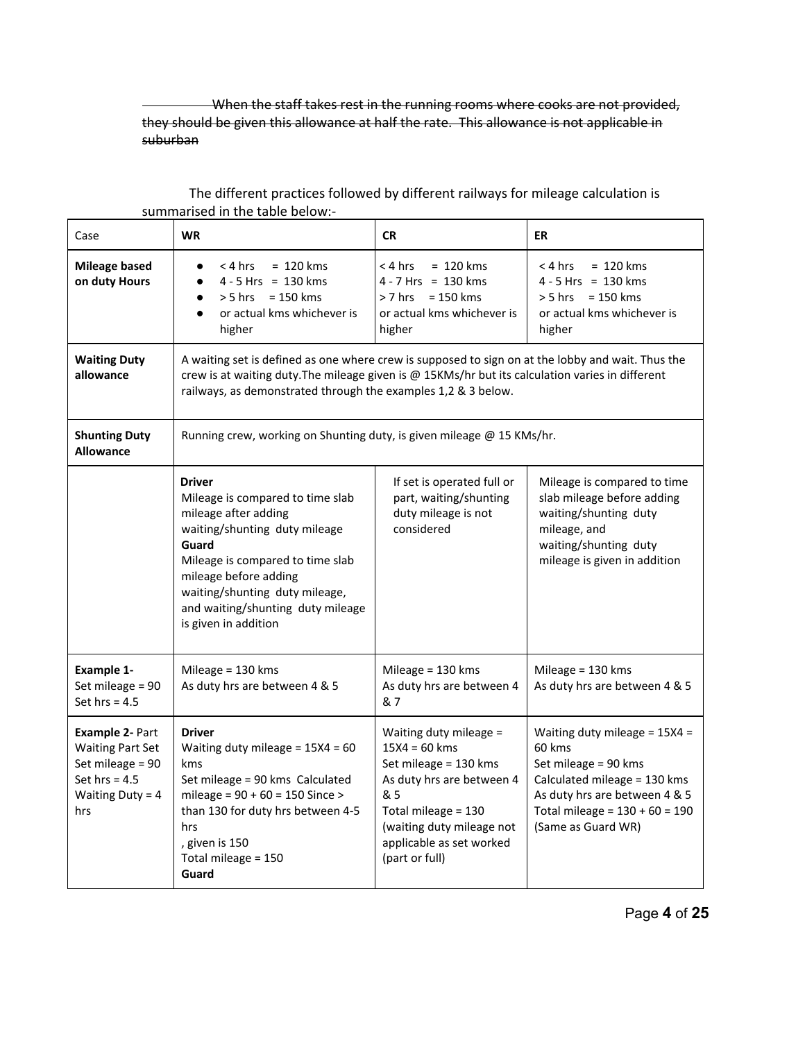When the staff takes rest in the running rooms where cooks are not provided, they should be given this allowance at half the rate. This allowance is not applicable in suburban

| Case                                                                                                                  | <b>WR</b>                                                                                                                                                                                                                                                                       | <b>CR</b>                                                                                                                                                                                                | ER                                                                                                                                                                                           |
|-----------------------------------------------------------------------------------------------------------------------|---------------------------------------------------------------------------------------------------------------------------------------------------------------------------------------------------------------------------------------------------------------------------------|----------------------------------------------------------------------------------------------------------------------------------------------------------------------------------------------------------|----------------------------------------------------------------------------------------------------------------------------------------------------------------------------------------------|
| <b>Mileage based</b><br>on duty Hours                                                                                 | $= 120$ kms<br>< 4 hrs<br>$\bullet$<br>$4 - 5$ Hrs = 130 kms<br>$\bullet$<br>$> 5$ hrs = 150 kms<br>$\bullet$<br>or actual kms whichever is<br>$\bullet$<br>higher                                                                                                              | $= 120$ kms<br>< 4 hrs<br>$4 - 7$ Hrs = 130 kms<br>$> 7$ hrs = 150 kms<br>or actual kms whichever is<br>higher                                                                                           | $= 120$ kms<br>< 4 hrs<br>$4 - 5$ Hrs = 130 kms<br>$> 5$ hrs = 150 kms<br>or actual kms whichever is<br>higher                                                                               |
| <b>Waiting Duty</b><br>allowance                                                                                      | A waiting set is defined as one where crew is supposed to sign on at the lobby and wait. Thus the<br>crew is at waiting duty. The mileage given is @ 15KMs/hr but its calculation varies in different<br>railways, as demonstrated through the examples 1,2 & 3 below.          |                                                                                                                                                                                                          |                                                                                                                                                                                              |
| <b>Shunting Duty</b><br><b>Allowance</b>                                                                              | Running crew, working on Shunting duty, is given mileage @ 15 KMs/hr.                                                                                                                                                                                                           |                                                                                                                                                                                                          |                                                                                                                                                                                              |
|                                                                                                                       | <b>Driver</b><br>Mileage is compared to time slab<br>mileage after adding<br>waiting/shunting duty mileage<br>Guard<br>Mileage is compared to time slab<br>mileage before adding<br>waiting/shunting duty mileage,<br>and waiting/shunting duty mileage<br>is given in addition | If set is operated full or<br>part, waiting/shunting<br>duty mileage is not<br>considered                                                                                                                | Mileage is compared to time<br>slab mileage before adding<br>waiting/shunting duty<br>mileage, and<br>waiting/shunting duty<br>mileage is given in addition                                  |
| <b>Example 1-</b><br>Set mileage = 90<br>Set hrs = $4.5$                                                              | Mileage $=$ 130 kms<br>As duty hrs are between 4 & 5                                                                                                                                                                                                                            | Mileage = $130$ kms<br>As duty hrs are between 4<br>& 7                                                                                                                                                  | Mileage = $130$ kms<br>As duty hrs are between 4 & 5                                                                                                                                         |
| <b>Example 2- Part</b><br><b>Waiting Part Set</b><br>Set mileage = 90<br>Set hrs = $4.5$<br>Waiting Duty = $4$<br>hrs | <b>Driver</b><br>Waiting duty mileage = $15X4 = 60$<br>kms<br>Set mileage = 90 kms Calculated<br>mileage = $90 + 60 = 150$ Since ><br>than 130 for duty hrs between 4-5<br>hrs<br>, given is 150<br>Total mileage = 150<br>Guard                                                | Waiting duty mileage =<br>$15X4 = 60$ kms<br>Set mileage = 130 kms<br>As duty hrs are between 4<br>& 5<br>Total mileage = 130<br>(waiting duty mileage not<br>applicable as set worked<br>(part or full) | Waiting duty mileage = $15X4 =$<br>60 kms<br>Set mileage = 90 kms<br>Calculated mileage = 130 kms<br>As duty hrs are between 4 & 5<br>Total mileage = $130 + 60 = 190$<br>(Same as Guard WR) |

## The different practices followed by different railways for mileage calculation is summarised in the table below:

Page **4** of **25**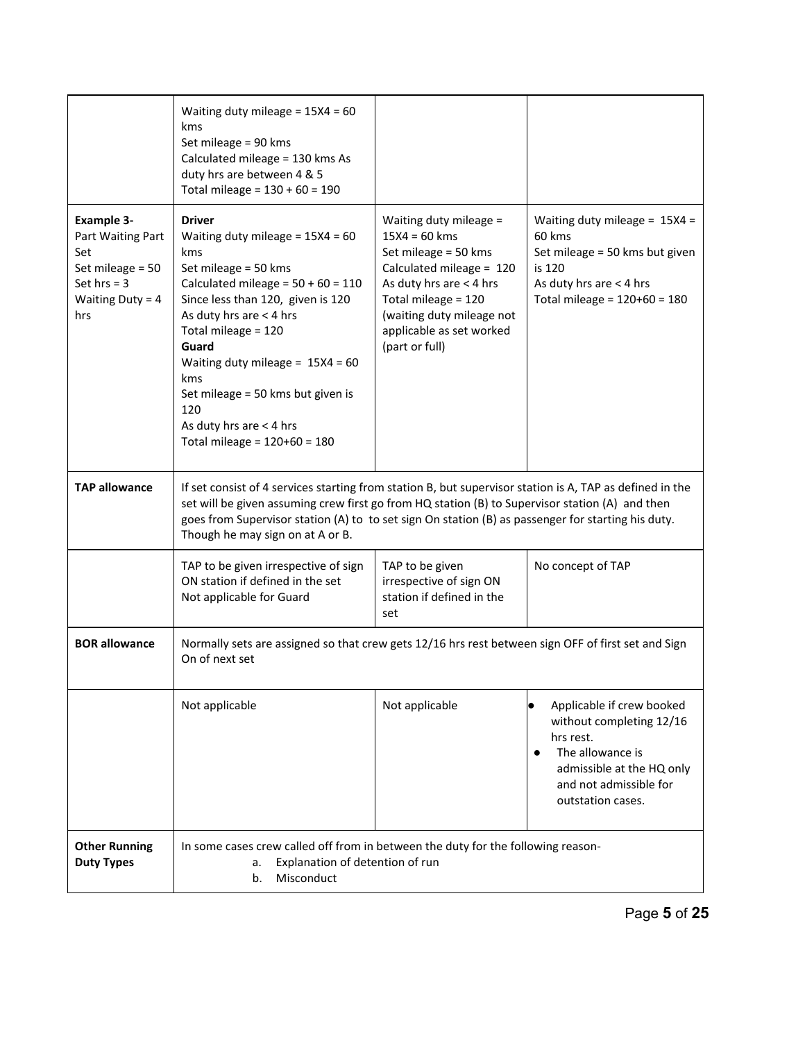|                                                                                                                 | Waiting duty mileage = $15X4 = 60$<br>kms<br>Set mileage = 90 kms<br>Calculated mileage = 130 kms As<br>duty hrs are between 4 & 5<br>Total mileage = $130 + 60 = 190$                                                                                                                                                                                                                 |                                                                                                                                                                                                                            |                                                                                                                                                                                 |
|-----------------------------------------------------------------------------------------------------------------|----------------------------------------------------------------------------------------------------------------------------------------------------------------------------------------------------------------------------------------------------------------------------------------------------------------------------------------------------------------------------------------|----------------------------------------------------------------------------------------------------------------------------------------------------------------------------------------------------------------------------|---------------------------------------------------------------------------------------------------------------------------------------------------------------------------------|
| <b>Example 3-</b><br>Part Waiting Part<br>Set<br>Set mileage = 50<br>Set $hrs = 3$<br>Waiting Duty = $4$<br>hrs | <b>Driver</b><br>Waiting duty mileage = $15X4 = 60$<br>kms<br>Set mileage = $50$ kms<br>Calculated mileage = $50 + 60 = 110$<br>Since less than 120, given is 120<br>As duty hrs are $<$ 4 hrs<br>Total mileage = 120<br>Guard<br>Waiting duty mileage = $15X4 = 60$<br>kms<br>Set mileage = 50 kms but given is<br>120<br>As duty hrs are $<$ 4 hrs<br>Total mileage = $120+60 = 180$ | Waiting duty mileage =<br>$15X4 = 60$ kms<br>Set mileage = 50 kms<br>Calculated mileage = 120<br>As duty hrs are < 4 hrs<br>Total mileage = 120<br>(waiting duty mileage not<br>applicable as set worked<br>(part or full) | Waiting duty mileage = $15X4 =$<br>60 kms<br>Set mileage = 50 kms but given<br>is 120<br>As duty hrs are $<$ 4 hrs<br>Total mileage = $120+60 = 180$                            |
| <b>TAP allowance</b>                                                                                            | If set consist of 4 services starting from station B, but supervisor station is A, TAP as defined in the<br>set will be given assuming crew first go from HQ station (B) to Supervisor station (A) and then<br>goes from Supervisor station (A) to to set sign On station (B) as passenger for starting his duty.<br>Though he may sign on at A or B.                                  |                                                                                                                                                                                                                            |                                                                                                                                                                                 |
|                                                                                                                 | TAP to be given irrespective of sign<br>ON station if defined in the set<br>Not applicable for Guard                                                                                                                                                                                                                                                                                   | TAP to be given<br>irrespective of sign ON<br>station if defined in the<br>set                                                                                                                                             | No concept of TAP                                                                                                                                                               |
| <b>BOR allowance</b>                                                                                            | Normally sets are assigned so that crew gets 12/16 hrs rest between sign OFF of first set and Sign<br>On of next set                                                                                                                                                                                                                                                                   |                                                                                                                                                                                                                            |                                                                                                                                                                                 |
|                                                                                                                 | Not applicable                                                                                                                                                                                                                                                                                                                                                                         | Not applicable                                                                                                                                                                                                             | Applicable if crew booked<br>$\bullet$<br>without completing 12/16<br>hrs rest.<br>The allowance is<br>admissible at the HQ only<br>and not admissible for<br>outstation cases. |
| <b>Other Running</b><br><b>Duty Types</b>                                                                       | In some cases crew called off from in between the duty for the following reason-<br>Explanation of detention of run<br>a.<br>Misconduct<br>b.                                                                                                                                                                                                                                          |                                                                                                                                                                                                                            |                                                                                                                                                                                 |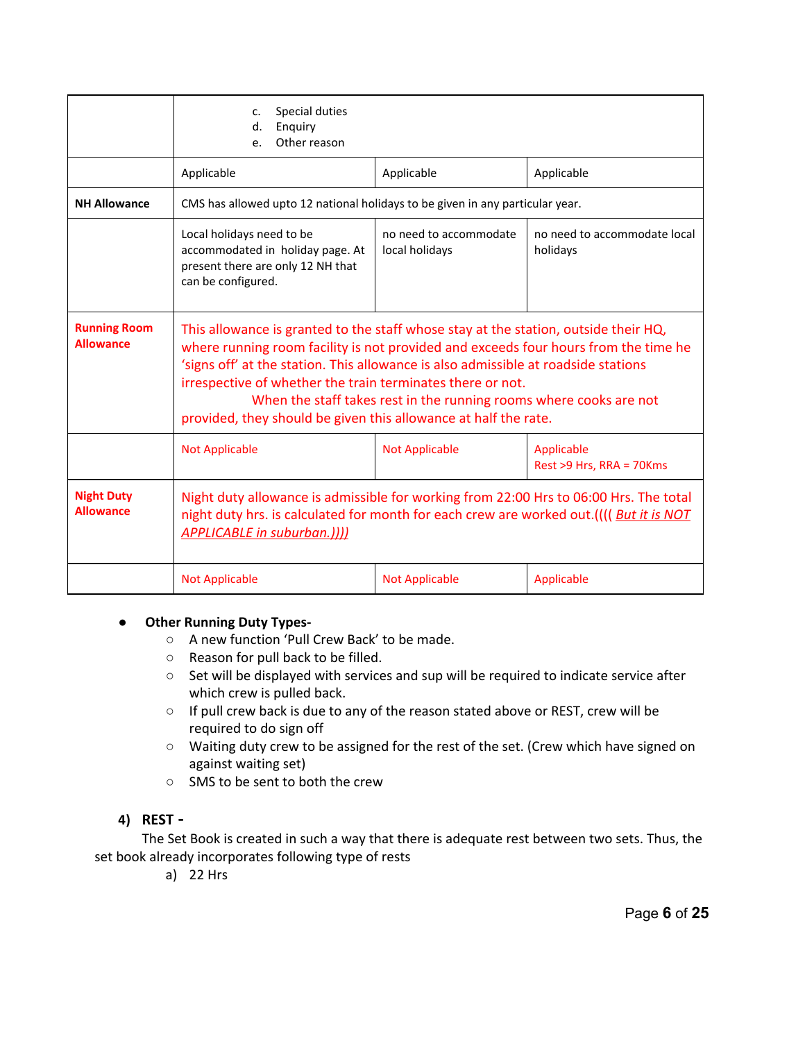|                                         | Special duties<br>c.<br>d.<br>Enquiry<br>Other reason<br>e.                                                                                                                                                                                                                                                                                                                                                                                                             |                                          |                                        |
|-----------------------------------------|-------------------------------------------------------------------------------------------------------------------------------------------------------------------------------------------------------------------------------------------------------------------------------------------------------------------------------------------------------------------------------------------------------------------------------------------------------------------------|------------------------------------------|----------------------------------------|
|                                         | Applicable                                                                                                                                                                                                                                                                                                                                                                                                                                                              | Applicable                               | Applicable                             |
| <b>NH Allowance</b>                     | CMS has allowed upto 12 national holidays to be given in any particular year.                                                                                                                                                                                                                                                                                                                                                                                           |                                          |                                        |
|                                         | Local holidays need to be<br>accommodated in holiday page. At<br>present there are only 12 NH that<br>can be configured.                                                                                                                                                                                                                                                                                                                                                | no need to accommodate local<br>holidays |                                        |
| <b>Running Room</b><br><b>Allowance</b> | This allowance is granted to the staff whose stay at the station, outside their HQ,<br>where running room facility is not provided and exceeds four hours from the time he<br>'signs off' at the station. This allowance is also admissible at roadside stations<br>irrespective of whether the train terminates there or not.<br>When the staff takes rest in the running rooms where cooks are not<br>provided, they should be given this allowance at half the rate. |                                          |                                        |
|                                         | <b>Not Applicable</b>                                                                                                                                                                                                                                                                                                                                                                                                                                                   | <b>Not Applicable</b>                    | Applicable<br>Rest >9 Hrs, RRA = 70Kms |
| <b>Night Duty</b><br><b>Allowance</b>   | Night duty allowance is admissible for working from 22:00 Hrs to 06:00 Hrs. The total<br>night duty hrs. is calculated for month for each crew are worked out.(((( But it is NOT<br><b>APPLICABLE in suburban.))))</b>                                                                                                                                                                                                                                                  |                                          |                                        |
|                                         | <b>Not Applicable</b>                                                                                                                                                                                                                                                                                                                                                                                                                                                   | <b>Not Applicable</b>                    | Applicable                             |

## ● **Other Running Duty Types**

- **○** A new function 'Pull Crew Back' to be made.
- Reason for pull back to be filled.
- Set will be displayed with services and sup will be required to indicate service after which crew is pulled back.
- If pull crew back is due to any of the reason stated above or REST, crew will be required to do sign off
- Waiting duty crew to be assigned for the rest of the set. (Crew which have signed on against waiting set)
- SMS to be sent to both the crew

## **4) REST**

The Set Book is created in such a way that there is adequate rest between two sets. Thus, the set book already incorporates following type of rests

a) 22 Hrs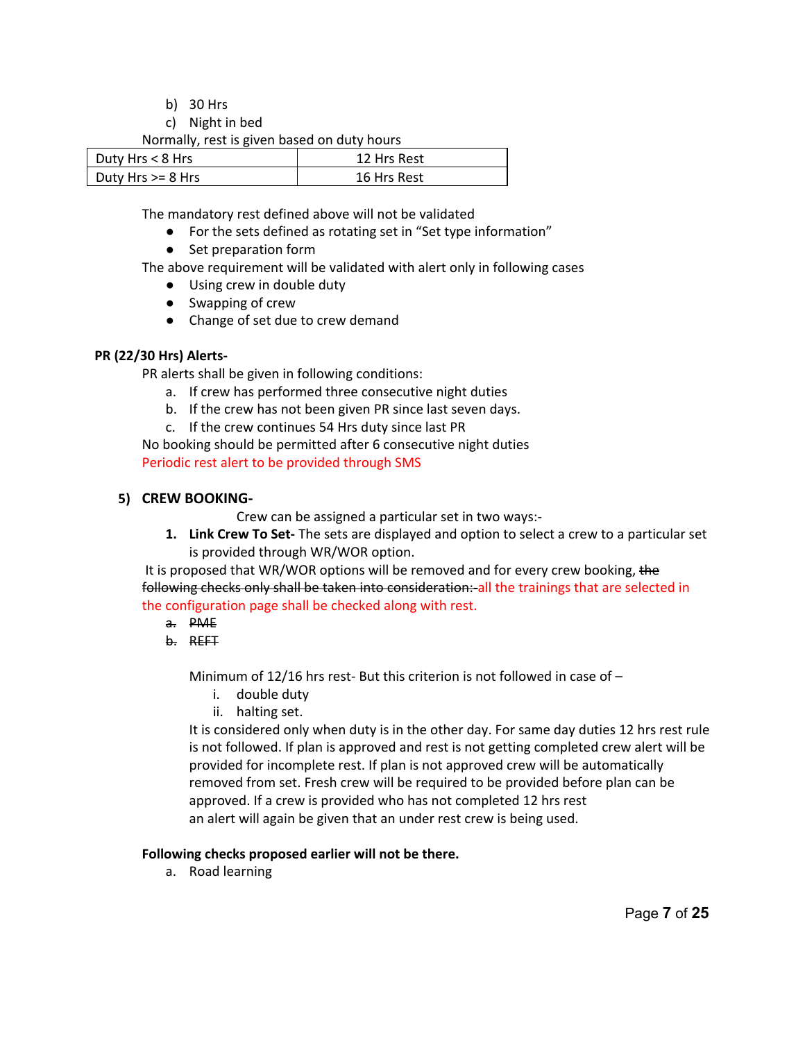- b) 30 Hrs
- c) Night in bed

Normally, rest is given based on duty hours

| Duty Hrs $< 8$ Hrs    | 12 Hrs Rest |
|-----------------------|-------------|
| Duty Hrs $\geq 8$ Hrs | 16 Hrs Rest |

The mandatory rest defined above will not be validated

- For the sets defined as rotating set in "Set type information"
- Set preparation form

The above requirement will be validated with alert only in following cases

- Using crew in double duty
- Swapping of crew
- Change of set due to crew demand

#### **PR (22/30 Hrs) Alerts-**

PR alerts shall be given in following conditions:

- a. If crew has performed three consecutive night duties
- b. If the crew has not been given PR since last seven days.
- c. If the crew continues 54 Hrs duty since last PR

No booking should be permitted after 6 consecutive night duties Periodic rest alert to be provided through SMS

#### **5) CREW BOOKING-**

Crew can be assigned a particular set in two ways:

**1.** Link Crew To Set-The sets are displayed and option to select a crew to a particular set is provided through WR/WOR option.

It is proposed that WR/WOR options will be removed and for every crew booking, the following checks only shall be taken into consideration: all the trainings that are selected in the configuration page shall be checked along with rest.

- a. PME
- b. REFT

Minimum of 12/16 hrs rest- But this criterion is not followed in case of  $-$ 

- i. double duty
- ii. halting set.

It is considered only when duty is in the other day. For same day duties 12 hrs rest rule is not followed. If plan is approved and rest is not getting completed crew alert will be provided for incomplete rest. If plan is not approved crew will be automatically removed from set. Fresh crew will be required to be provided before plan can be approved. If a crew is provided who has not completed 12 hrs rest an alert will again be given that an under rest crew is being used.

#### **Following checks proposed earlier will not be there.**

a. Road learning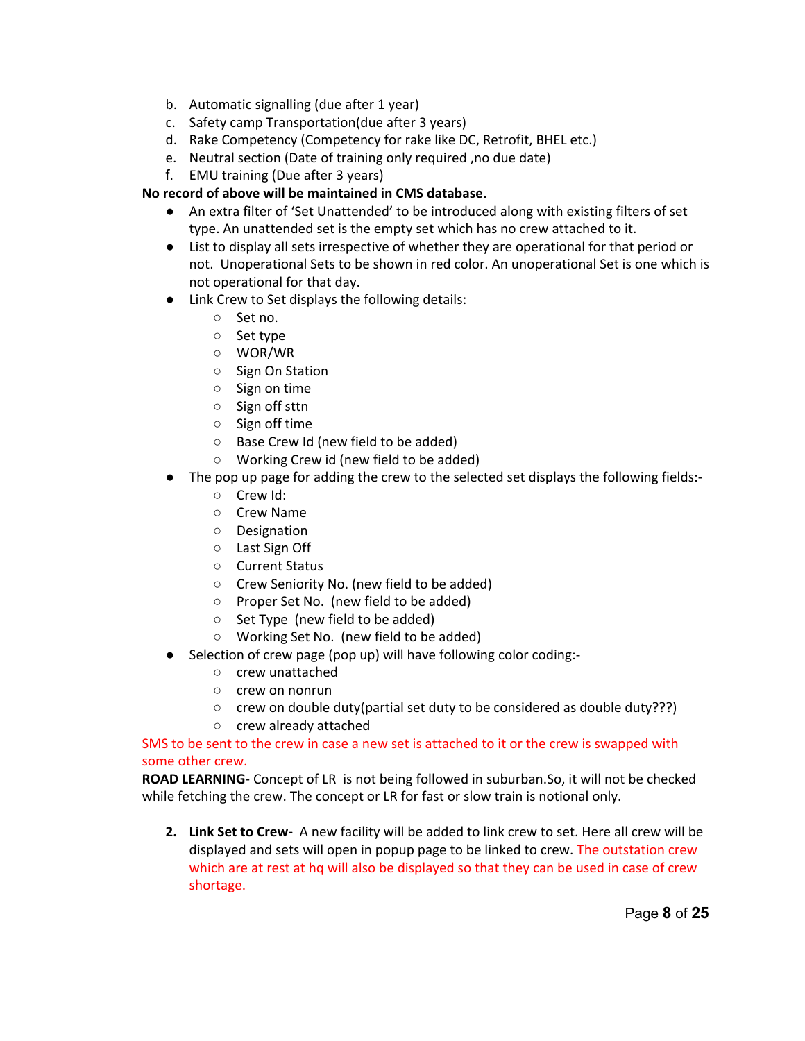- b. Automatic signalling (due after 1 year)
- c. Safety camp Transportation(due after 3 years)
- d. Rake Competency (Competency for rake like DC, Retrofit, BHEL etc.)
- e. Neutral section (Date of training only required ,no due date)
- f. EMU training (Due after 3 years)

## **No record of above will be maintained in CMS database.**

- An extra filter of 'Set Unattended' to be introduced along with existing filters of set type. An unattended set is the empty set which has no crew attached to it.
- **●** List to display all sets irrespective of whether they are operational for that period or not. Unoperational Sets to be shown in red color. An unoperational Set is one which is not operational for that day.
- Link Crew to Set displays the following details:
	- Set no.
	- Set type
	- WOR/WR
	- Sign On Station
	- Sign on time
	- Sign off sttn
	- Sign off time
	- Base Crew Id (new field to be added)
	- Working Crew id (new field to be added)
- The pop up page for adding the crew to the selected set displays the following fields:-
	- Crew Id:
	- Crew Name
	- Designation
	- Last Sign Off
	- Current Status
	- Crew Seniority No. (new field to be added)
	- Proper Set No. (new field to be added)
	- Set Type (new field to be added)
	- Working Set No. (new field to be added)
- Selection of crew page (pop up) will have following color coding:-
	- crew unattached
	- crew on nonrun
	- crew on double duty(partial set duty to be considered as double duty???)
	- crew already attached

#### SMS to be sent to the crew in case a new set is attached to it or the crew is swapped with some other crew.

**ROAD LEARNING**- Concept of LR is not being followed in suburban.So, it will not be checked while fetching the crew. The concept or LR for fast or slow train is notional only.

**2. Link Set to Crew**  A new facility will be added to link crew to set. Here all crew will be displayed and sets will open in popup page to be linked to crew. The outstation crew which are at rest at hq will also be displayed so that they can be used in case of crew shortage.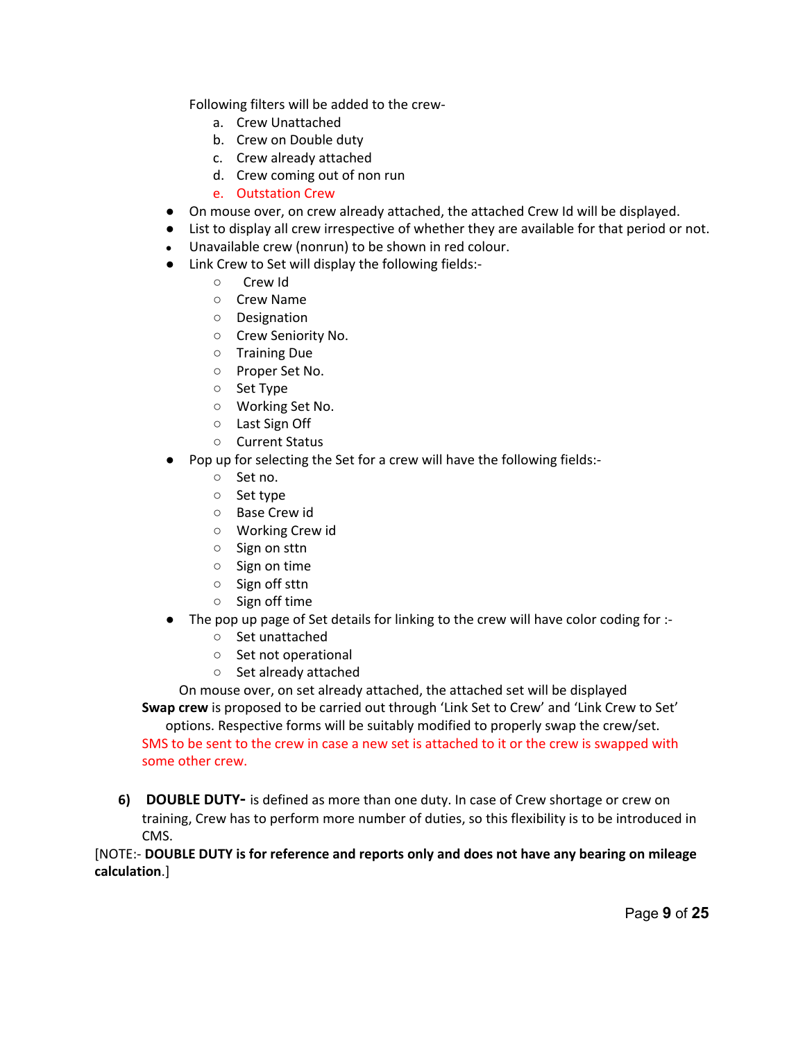Following filters will be added to the crew-

- a. Crew Unattached
- b. Crew on Double duty
- c. Crew already attached
- d. Crew coming out of non run
- e. Outstation Crew
- On mouse over, on crew already attached, the attached Crew Id will be displayed.
- List to display all crew irrespective of whether they are available for that period or not.
- Unavailable crew (nonrun) to be shown in red colour.
- Link Crew to Set will display the following fields:
	- Crew Id
	- Crew Name
	- Designation
	- Crew Seniority No.
	- Training Due
	- Proper Set No.
	- Set Type
	- Working Set No.
	- Last Sign Off
	- Current Status
- Pop up for selecting the Set for a crew will have the following fields:
	- Set no.
	- Set type
	- Base Crew id
	- Working Crew id
	- Sign on sttn
	- Sign on time
	- Sign off sttn
	- Sign off time
- The pop up page of Set details for linking to the crew will have color coding for :-
	- Set unattached
	- Set not operational
	- Set already attached

On mouse over, on set already attached, the attached set will be displayed

**Swap crew** is proposed to be carried out through 'Link Set to Crew' and 'Link Crew to Set' options. Respective forms will be suitably modified to properly swap the crew/set.

SMS to be sent to the crew in case a new set is attached to it or the crew is swapped with some other crew.

**6) DOUBLE DUTY** is defined as more than one duty. In case of Crew shortage or crew on training, Crew has to perform more number of duties, so this flexibility is to be introduced in CMS.

[NOTE: **DOUBLE DUTY is for reference and reports only and does not have any bearing on mileage calculation**.]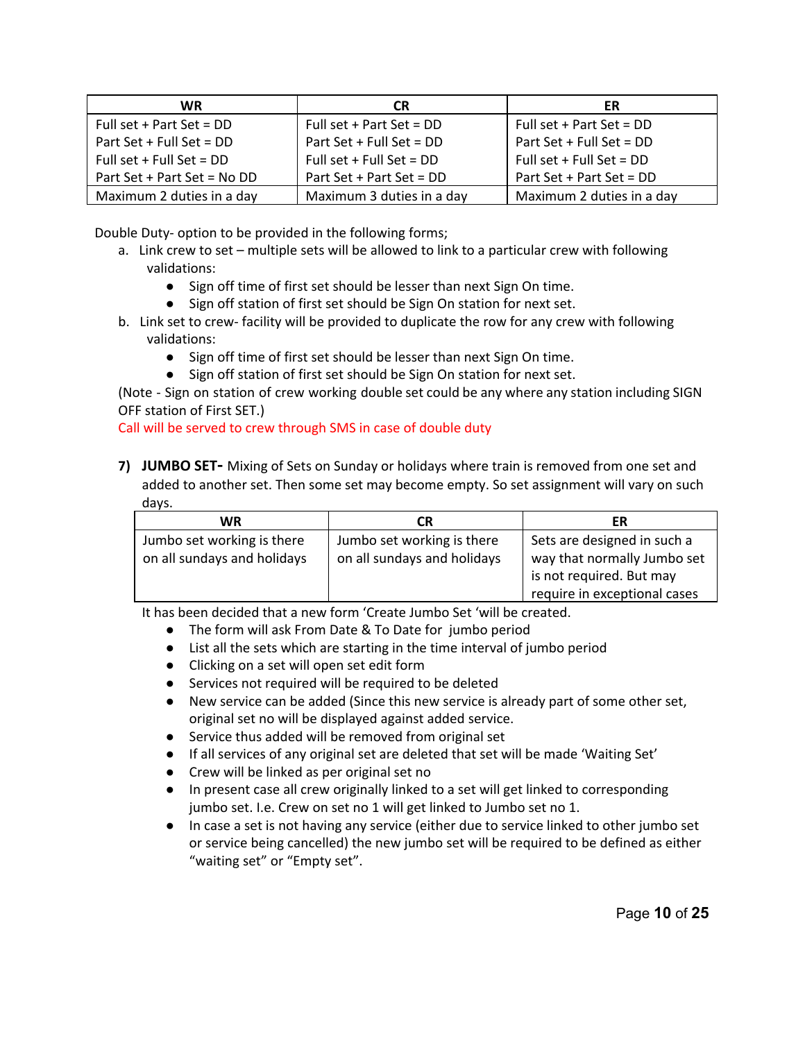| WR.                         | <b>CR</b>                  | ER                         |
|-----------------------------|----------------------------|----------------------------|
| Full set + Part Set = $DD$  | Full set + Part Set = $DD$ | Full set + Part Set = $DD$ |
| Part Set + Full Set = DD    | Part Set + Full Set = $DD$ | Part Set + Full Set = $DD$ |
| Full set + Full Set = $DD$  | Full set + Full Set = $DD$ | Full set + Full Set = $DD$ |
| Part Set + Part Set = No DD | Part Set + Part Set = DD   | Part Set + Part Set = DD   |
| Maximum 2 duties in a day   | Maximum 3 duties in a day  | Maximum 2 duties in a day  |

Double Duty- option to be provided in the following forms;

- a. Link crew to set multiple sets will be allowed to link to a particular crew with following validations:
	- Sign off time of first set should be lesser than next Sign On time.
	- Sign off station of first set should be Sign On station for next set.
- b. Link set to crew- facility will be provided to duplicate the row for any crew with following validations:
	- Sign off time of first set should be lesser than next Sign On time.
	- Sign off station of first set should be Sign On station for next set.

(Note - Sign on station of crew working double set could be any where any station including SIGN OFF station of First SET.)

Call will be served to crew through SMS in case of double duty

**7) JUMBO SET-** Mixing of Sets on Sunday or holidays where train is removed from one set and added to another set. Then some set may become empty. So set assignment will vary on such days.

| WR                                                        | CR                                                        | ER                                                         |
|-----------------------------------------------------------|-----------------------------------------------------------|------------------------------------------------------------|
| Jumbo set working is there<br>on all sundays and holidays | Jumbo set working is there<br>on all sundays and holidays | Sets are designed in such a<br>way that normally Jumbo set |
|                                                           |                                                           | is not required. But may                                   |
|                                                           |                                                           | require in exceptional cases                               |

It has been decided that a new form 'Create Jumbo Set 'will be created.

- The form will ask From Date & To Date for jumbo period
- List all the sets which are starting in the time interval of jumbo period
- Clicking on a set will open set edit form
- Services not required will be required to be deleted
- New service can be added (Since this new service is already part of some other set, original set no will be displayed against added service.
- Service thus added will be removed from original set
- If all services of any original set are deleted that set will be made 'Waiting Set'
- Crew will be linked as per original set no
- In present case all crew originally linked to a set will get linked to corresponding jumbo set. I.e. Crew on set no 1 will get linked to Jumbo set no 1.
- In case a set is not having any service (either due to service linked to other jumbo set or service being cancelled) the new jumbo set will be required to be defined as either "waiting set" or "Empty set".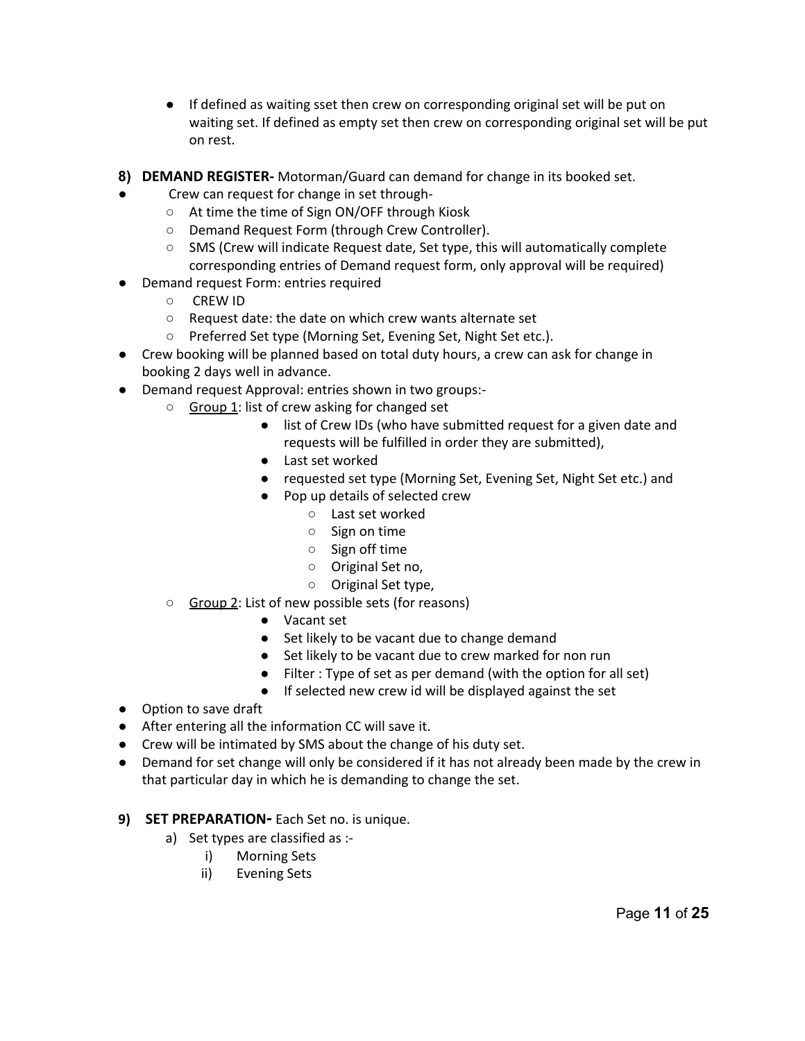- If defined as waiting sset then crew on corresponding original set will be put on waiting set. If defined as empty set then crew on corresponding original set will be put on rest.
- **8) DEMAND REGISTER-** Motorman/Guard can demand for change in its booked set.
- Crew can request for change in set through-
	- At time the time of Sign ON/OFF through Kiosk
	- Demand Request Form (through Crew Controller).
	- SMS (Crew will indicate Request date, Set type, this will automatically complete corresponding entries of Demand request form, only approval will be required)
- **Demand request Form: entries required** 
	- CREW ID
	- Request date: the date on which crew wants alternate set
	- Preferred Set type (Morning Set, Evening Set, Night Set etc.).
- Crew booking will be planned based on total duty hours, a crew can ask for change in booking 2 days well in advance.
- Demand request Approval: entries shown in two groups:
	- Group 1: list of crew asking for changed set
		- list of Crew IDs (who have submitted request for a given date and requests will be fulfilled in order they are submitted),
		- Last set worked
		- requested set type (Morning Set, Evening Set, Night Set etc.) and
		- Pop up details of selected crew
			- Last set worked
			- Sign on time
			- Sign off time
			- Original Set no,
			- Original Set type,
	- Group 2: List of new possible sets (for reasons)
		- Vacant set
		- Set likely to be vacant due to change demand
		- Set likely to be vacant due to crew marked for non run
		- Filter : Type of set as per demand (with the option for all set)
		- If selected new crew id will be displayed against the set
- Option to save draft
- After entering all the information CC will save it.
- Crew will be intimated by SMS about the change of his duty set.
- Demand for set change will only be considered if it has not already been made by the crew in that particular day in which he is demanding to change the set.

## **9) SET PREPARATION-** Each Set no. is unique.

- a) Set types are classified as :
	- i) Morning Sets
	- ii) Evening Sets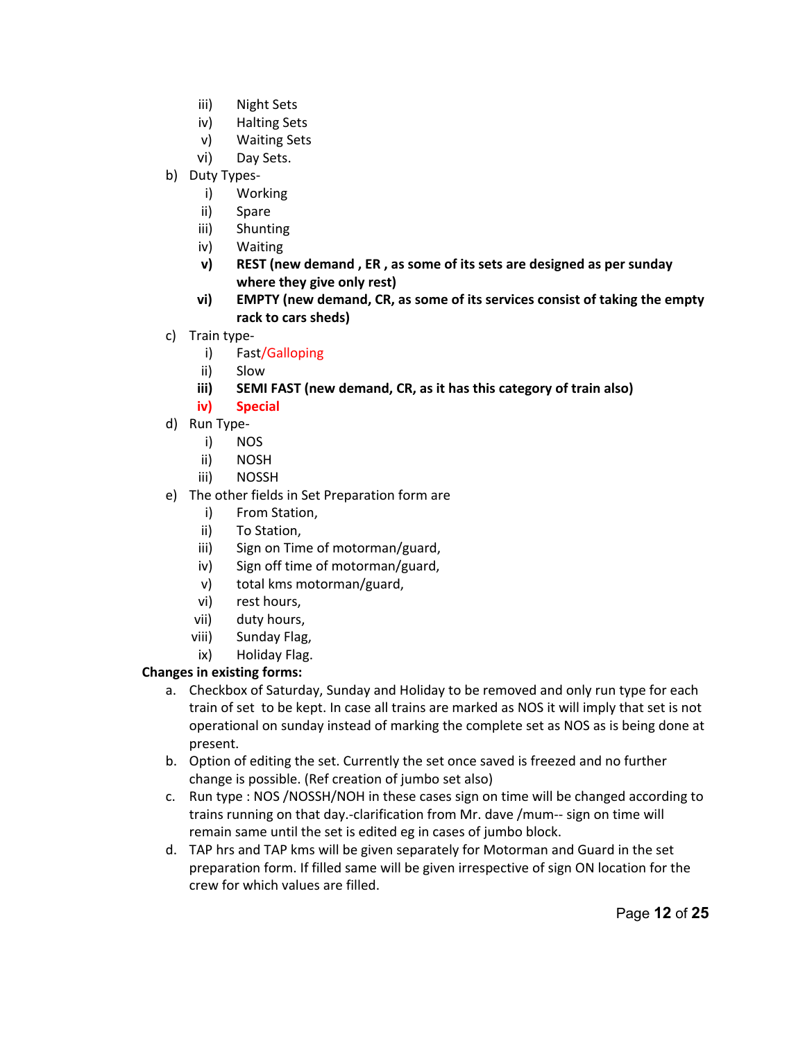- iii) Night Sets
- iv) Halting Sets
- v) Waiting Sets
- vi) Day Sets.
- b) Duty Types
	- i) Working
	- ii) Spare
	- iii) Shunting
	- iv) Waiting
	- **v) REST (new demand , ER , as some of its sets are designed as per sunday where they give only rest)**
	- **vi) EMPTY (new demand, CR, as some of its services consist of taking the empty rack to cars sheds)**
- c) Train type
	- i) Fast/Galloping
	- ii) Slow
	- **iii) SEMI FAST (new demand, CR, as it has this category of train also)**
	- **iv) Special**
- d) Run Type
	- i) NOS
	- ii) NOSH
	- iii) NOSSH
- e) The other fields in Set Preparation form are
	- i) From Station,
	- ii) To Station,
	- iii) Sign on Time of motorman/guard,
	- iv) Sign off time of motorman/guard,
	- v) total kms motorman/guard,
	- vi) rest hours,
	- vii) duty hours,
	- viii) Sunday Flag,
	- ix) Holiday Flag.

#### **Changes in existing forms:**

- a. Checkbox of Saturday, Sunday and Holiday to be removed and only run type for each train of set to be kept. In case all trains are marked as NOS it will imply that set is not operational on sunday instead of marking the complete set as NOS as is being done at present.
- b. Option of editing the set. Currently the set once saved is freezed and no further change is possible. (Ref creation of jumbo set also)
- c. Run type : NOS /NOSSH/NOH in these cases sign on time will be changed according to trains running on that day.-clarification from Mr. dave /mum-- sign on time will remain same until the set is edited eg in cases of jumbo block.
- d. TAP hrs and TAP kms will be given separately for Motorman and Guard in the set preparation form. If filled same will be given irrespective of sign ON location for the crew for which values are filled.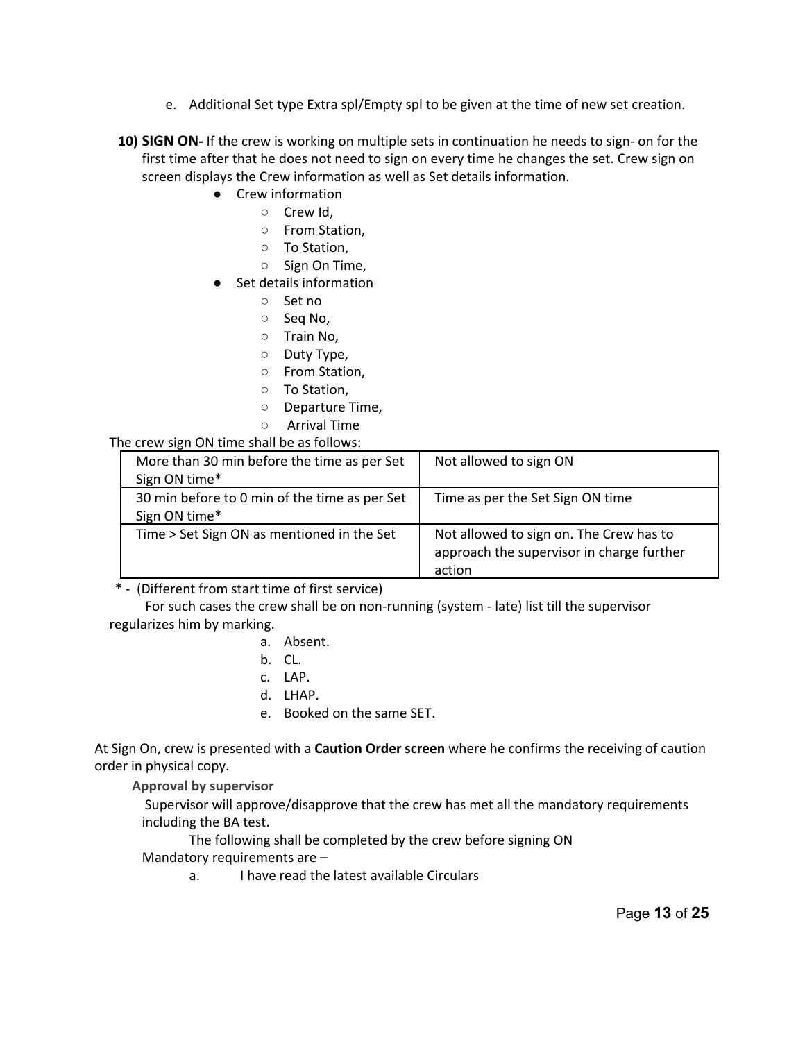- e. Additional Set type Extra spl/Empty spl to be given at the time of new set creation.
- **10) <b>SIGN ON** If the crew is working on multiple sets in continuation he needs to sign- on for the first time after that he does not need to sign on every time he changes the set. Crew sign on screen displays the Crew information as well as Set details information.
	- Crew information
		- Crew Id,
			- From Station,
			- To Station,
			- Sign On Time,
	- Set details information
		- Set no
		- Seq No,
		- Train No,
		- Duty Type,
		- From Station,
		- To Station,
		- Departure Time,
		- Arrival Time

#### The crew sign ON time shall be as follows:

| More than 30 min before the time as per Set<br>Sign ON time*   | Not allowed to sign ON                                                                         |
|----------------------------------------------------------------|------------------------------------------------------------------------------------------------|
| 30 min before to 0 min of the time as per Set<br>Sign ON time* | Time as per the Set Sign ON time                                                               |
| Time > Set Sign ON as mentioned in the Set                     | Not allowed to sign on. The Crew has to<br>approach the supervisor in charge further<br>action |

\* (Different from start time of first service)

For such cases the crew shall be on non-running (system - late) list till the supervisor regularizes him by marking.

- a. Absent.
- b. CL.
- c. LAP.
- d. LHAP.
- e. Booked on the same SET.

At Sign On, crew is presented with a **Caution Order screen** where he confirms the receiving of caution order in physical copy.

 **Approval by supervisor**

Supervisor will approve/disapprove that the crew has met all the mandatory requirements including the BA test.

The following shall be completed by the crew before signing ON Mandatory requirements are –

a. I have read the latest available Circulars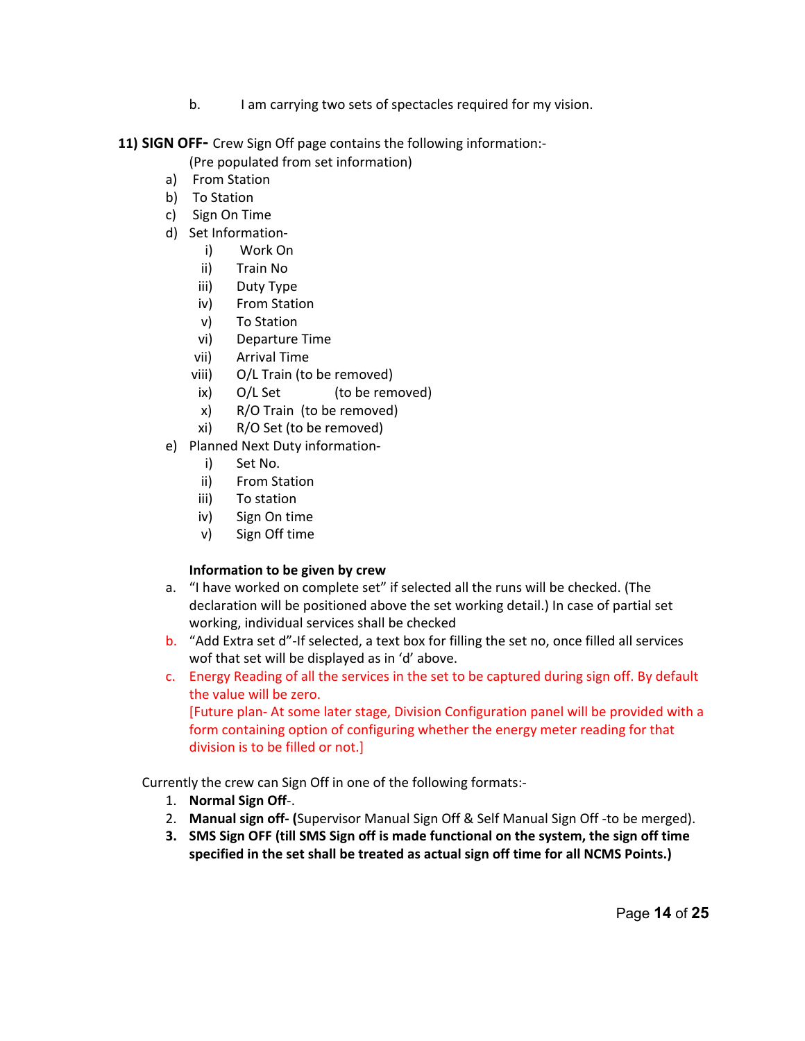b. I am carrying two sets of spectacles required for my vision.

**11) SIGN OFF** Crew Sign Off page contains the following information:

(Pre populated from set information)

- a) From Station
- b) To Station
- c) Sign On Time
- d) Set Information
	- i) Work On
	- ii) Train No
	- iii) Duty Type
	- iv) From Station
	- v) To Station
	- vi) Departure Time
	- vii) Arrival Time
	- viii) O/L Train (to be removed)
	- ix) O/L Set (to be removed)
	- x) R/O Train (to be removed)
	- xi) R/O Set (to be removed)
- e) Planned Next Duty information
	- i) Set No.
	- ii) From Station
	- iii) To station
	- iv) Sign On time
	- v) Sign Off time

## **Information to be given by crew**

- a. "I have worked on complete set" if selected all the runs will be checked. (The declaration will be positioned above the set working detail.) In case of partial set working, individual services shall be checked
- b. "Add Extra set d"-If selected, a text box for filling the set no, once filled all services wof that set will be displayed as in 'd' above.
- c. Energy Reading of all the services in the set to be captured during sign off. By default the value will be zero.

[Future plan-At some later stage, Division Configuration panel will be provided with a form containing option of configuring whether the energy meter reading for that division is to be filled or not.]

Currently the crew can Sign Off in one of the following formats:

- 1. **Normal Sign Off**.
- 2. Manual sign off- (Supervisor Manual Sign Off & Self Manual Sign Off-to be merged).
- **3. SMS Sign OFF (till SMS Sign off is made functional on the system, the sign off time specified in the set shall be treated as actual sign off time for all NCMS Points.)**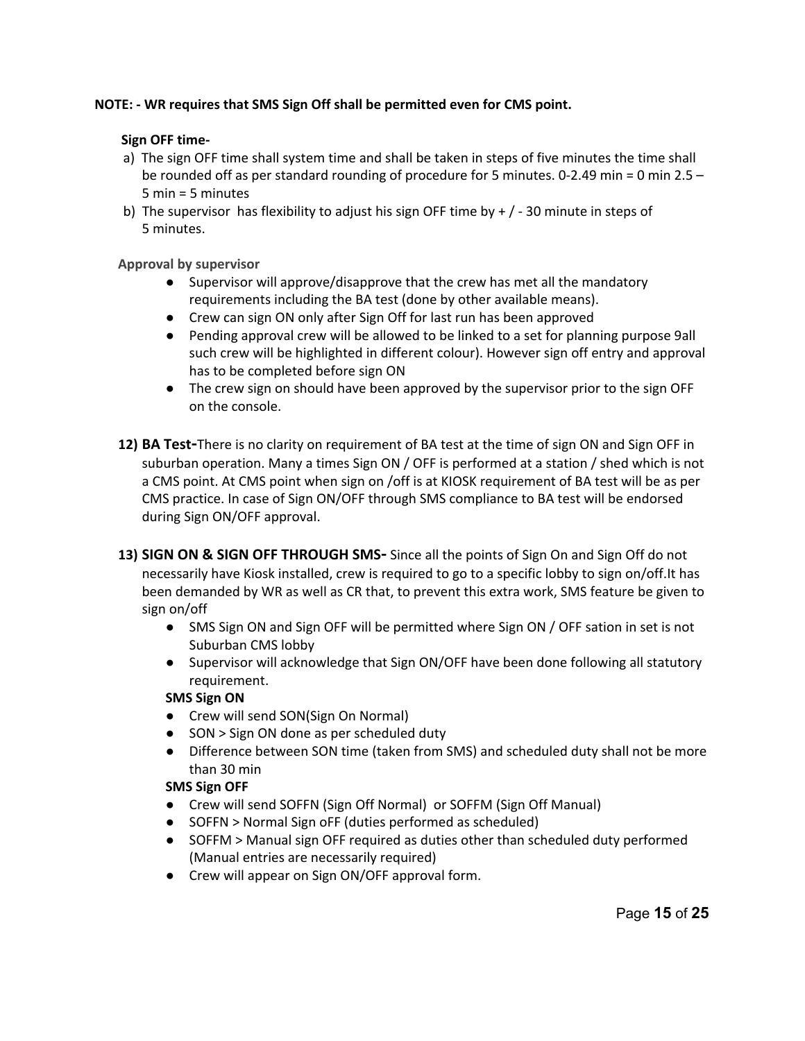## **NOTE: WR requires that SMS Sign Off shall be permitted even for CMS point.**

#### **Sign OFF time-**

- a) The sign OFF time shall system time and shall be taken in steps of five minutes the time shall be rounded off as per standard rounding of procedure for 5 minutes. 0-2.49 min = 0 min  $2.5 -$ 5 min = 5 minutes
- b) The supervisor has flexibility to adjust his sign OFF time by  $+/-30$  minute in steps of 5 minutes.

#### **Approval by supervisor**

- Supervisor will approve/disapprove that the crew has met all the mandatory requirements including the BA test (done by other available means).
- Crew can sign ON only after Sign Off for last run has been approved
- Pending approval crew will be allowed to be linked to a set for planning purpose 9all such crew will be highlighted in different colour). However sign off entry and approval has to be completed before sign ON
- The crew sign on should have been approved by the supervisor prior to the sign OFF on the console.
- **12) BA Test**There is no clarity on requirement of BA test at the time of sign ON and Sign OFF in suburban operation. Many a times Sign ON / OFF is performed at a station / shed which is not a CMS point. At CMS point when sign on /off is at KIOSK requirement of BA test will be as per CMS practice. In case of Sign ON/OFF through SMS compliance to BA test will be endorsed during Sign ON/OFF approval.
- 13) **SIGN ON & SIGN OFF THROUGH SMS-** Since all the points of Sign On and Sign Off do not necessarily have Kiosk installed, crew is required to go to a specific lobby to sign on/off.It has been demanded by WR as well as CR that, to prevent this extra work, SMS feature be given to sign on/off
	- SMS Sign ON and Sign OFF will be permitted where Sign ON / OFF sation in set is not Suburban CMS lobby
	- Supervisor will acknowledge that Sign ON/OFF have been done following all statutory requirement.

## **SMS Sign ON**

- Crew will send SON(Sign On Normal)
- SON > Sign ON done as per scheduled duty
- Difference between SON time (taken from SMS) and scheduled duty shall not be more than 30 min

## **SMS Sign OFF**

- Crew will send SOFFN (Sign Off Normal) or SOFFM (Sign Off Manual)
- SOFFN > Normal Sign oFF (duties performed as scheduled)
- SOFFM > Manual sign OFF required as duties other than scheduled duty performed (Manual entries are necessarily required)
- Crew will appear on Sign ON/OFF approval form.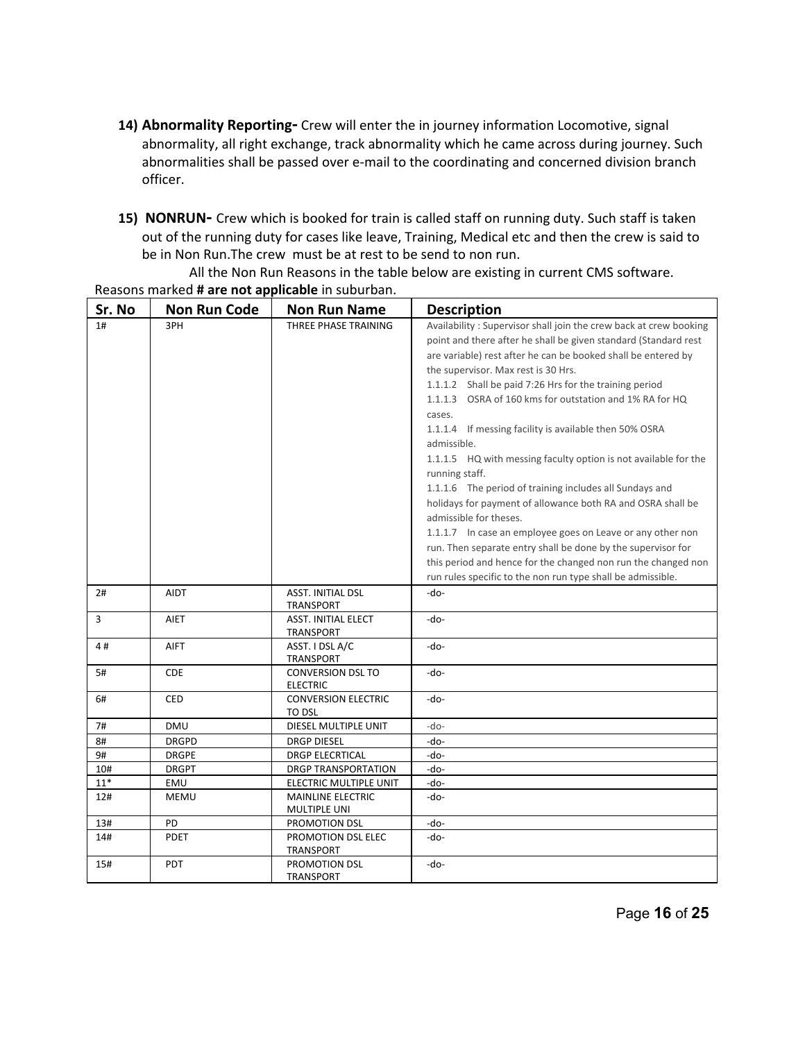- 14) Abnormality Reporting- Crew will enter the in journey information Locomotive, signal abnormality, all right exchange, track abnormality which he came across during journey. Such abnormalities shall be passed over e-mail to the coordinating and concerned division branch officer.
- **15) NONRUN** Crew which is booked for train is called staff on running duty. Such staff is taken out of the running duty for cases like leave, Training, Medical etc and then the crew is said to be in Non Run.The crew must be at rest to be send to non run.

| Sr. No | <b>Non Run Code</b> | <b>Non Run Name</b>                      | <b>Description</b>                                                |
|--------|---------------------|------------------------------------------|-------------------------------------------------------------------|
| 1#     | 3PH                 | THREE PHASE TRAINING                     | Availability: Supervisor shall join the crew back at crew booking |
|        |                     |                                          | point and there after he shall be given standard (Standard rest   |
|        |                     |                                          | are variable) rest after he can be booked shall be entered by     |
|        |                     |                                          | the supervisor. Max rest is 30 Hrs.                               |
|        |                     |                                          | 1.1.1.2 Shall be paid 7:26 Hrs for the training period            |
|        |                     |                                          | 1.1.1.3 OSRA of 160 kms for outstation and 1% RA for HQ           |
|        |                     |                                          | cases.                                                            |
|        |                     |                                          | 1.1.1.4 If messing facility is available then 50% OSRA            |
|        |                     |                                          | admissible.                                                       |
|        |                     |                                          | 1.1.1.5 HQ with messing faculty option is not available for the   |
|        |                     |                                          | running staff.                                                    |
|        |                     |                                          | 1.1.1.6 The period of training includes all Sundays and           |
|        |                     |                                          | holidays for payment of allowance both RA and OSRA shall be       |
|        |                     |                                          | admissible for theses.                                            |
|        |                     |                                          | 1.1.1.7 In case an employee goes on Leave or any other non        |
|        |                     |                                          | run. Then separate entry shall be done by the supervisor for      |
|        |                     |                                          | this period and hence for the changed non run the changed non     |
|        |                     |                                          | run rules specific to the non run type shall be admissible.       |
| 2#     | <b>AIDT</b>         | ASST. INITIAL DSL                        | -do-                                                              |
|        |                     | <b>TRANSPORT</b>                         |                                                                   |
| 3      | AIET                | <b>ASST. INITIAL ELECT</b>               | -do-                                                              |
|        |                     | <b>TRANSPORT</b>                         |                                                                   |
| 4#     | <b>AIFT</b>         | ASST. I DSL A/C<br><b>TRANSPORT</b>      | -do-                                                              |
| 5#     | <b>CDE</b>          | <b>CONVERSION DSL TO</b>                 | -do-                                                              |
|        |                     | <b>ELECTRIC</b>                          |                                                                   |
| 6#     | <b>CED</b>          | <b>CONVERSION ELECTRIC</b>               | -do-                                                              |
|        |                     | TO DSL                                   |                                                                   |
| 7#     | <b>DMU</b>          | DIESEL MULTIPLE UNIT                     | $-do-$                                                            |
| 8#     | <b>DRGPD</b>        | <b>DRGP DIESEL</b>                       | -do-                                                              |
| 9#     | <b>DRGPE</b>        | <b>DRGP ELECRTICAL</b>                   | -do-                                                              |
| 10#    | <b>DRGPT</b>        | DRGP TRANSPORTATION                      | -do-                                                              |
| $11*$  | EMU                 | ELECTRIC MULTIPLE UNIT                   | -do-                                                              |
| 12#    | <b>MEMU</b>         | <b>MAINLINE ELECTRIC</b><br>MULTIPLE UNI | -do-                                                              |
| 13#    | PD                  | PROMOTION DSL                            | -do-                                                              |
| 14#    | <b>PDET</b>         | PROMOTION DSL ELEC                       | -do-                                                              |
|        |                     | TRANSPORT                                |                                                                   |
| 15#    | <b>PDT</b>          | PROMOTION DSL                            | -do-                                                              |
|        |                     | <b>TRANSPORT</b>                         |                                                                   |

All the Non Run Reasons in the table below are existing in current CMS software. Reasons marked **# are not applicable** in suburban.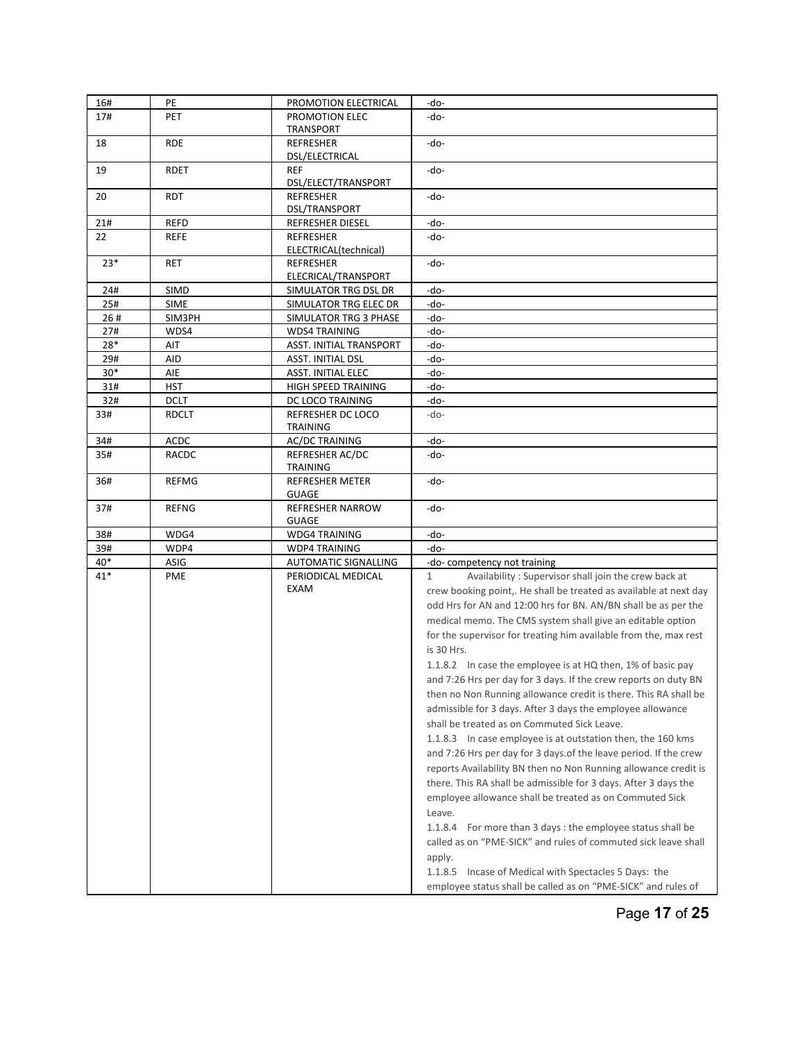| 16#   | PE           | PROMOTION ELECTRICAL                        | -do-                                                                     |
|-------|--------------|---------------------------------------------|--------------------------------------------------------------------------|
| 17#   | <b>PET</b>   | PROMOTION ELEC                              | -do-                                                                     |
|       |              | <b>TRANSPORT</b>                            |                                                                          |
| 18    | <b>RDE</b>   | <b>REFRESHER</b><br>DSL/ELECTRICAL          | -do-                                                                     |
| 19    | <b>RDET</b>  | <b>REF</b><br>DSL/ELECT/TRANSPORT           | -do-                                                                     |
| 20    | <b>RDT</b>   | <b>REFRESHER</b><br>DSL/TRANSPORT           | -do-                                                                     |
| 21#   | REFD         | REFRESHER DIESEL                            | -do-                                                                     |
| 22    | <b>REFE</b>  | <b>REFRESHER</b>                            | -do-                                                                     |
|       |              | ELECTRICAL(technical)                       |                                                                          |
| $23*$ | <b>RET</b>   | <b>REFRESHER</b><br>ELECRICAL/TRANSPORT     | -do-                                                                     |
| 24#   | <b>SIMD</b>  | SIMULATOR TRG DSL DR                        | -do-                                                                     |
| 25#   | <b>SIME</b>  | SIMULATOR TRG ELEC DR                       | -do-                                                                     |
| 26#   | SIM3PH       | SIMULATOR TRG 3 PHASE                       | -do-                                                                     |
| 27#   | WDS4         | <b>WDS4 TRAINING</b>                        | -do-                                                                     |
| 28*   | AIT          | ASST. INITIAL TRANSPORT                     | -do-                                                                     |
| 29#   | AID          | ASST. INITIAL DSL                           | -do-                                                                     |
| $30*$ | AIE          | ASST. INITIAL ELEC                          | -do-                                                                     |
| 31#   | HST          | HIGH SPEED TRAINING                         | -do-                                                                     |
| 32#   | <b>DCLT</b>  | DC LOCO TRAINING                            | -do-                                                                     |
| 33#   | <b>RDCLT</b> | <b>REFRESHER DC LOCO</b><br><b>TRAINING</b> | -do-                                                                     |
| 34#   | ACDC         | <b>AC/DC TRAINING</b>                       | -do-                                                                     |
| 35#   | RACDC        | REFRESHER AC/DC<br><b>TRAINING</b>          | -do-                                                                     |
| 36#   | <b>REFMG</b> | <b>REFRESHER METER</b><br><b>GUAGE</b>      | -do-                                                                     |
| 37#   | <b>REFNG</b> | <b>REFRESHER NARROW</b><br><b>GUAGE</b>     | -do-                                                                     |
| 38#   | WDG4         | <b>WDG4 TRAINING</b>                        | -do-                                                                     |
| 39#   | WDP4         | <b>WDP4 TRAINING</b>                        | -do-                                                                     |
| 40*   | ASIG         | <b>AUTOMATIC SIGNALLING</b>                 | -do-competency not training                                              |
| 41*   | <b>PME</b>   | PERIODICAL MEDICAL                          | Availability: Supervisor shall join the crew back at<br>$\mathbf{1}$     |
|       |              | EXAM                                        | crew booking point,. He shall be treated as available at next day        |
|       |              |                                             | odd Hrs for AN and 12:00 hrs for BN. AN/BN shall be as per the           |
|       |              |                                             | medical memo. The CMS system shall give an editable option               |
|       |              |                                             |                                                                          |
|       |              |                                             | for the supervisor for treating him available from the, max rest         |
|       |              |                                             | is 30 Hrs.                                                               |
|       |              |                                             | 1.1.8.2 In case the employee is at HQ then, 1% of basic pay              |
|       |              |                                             | and 7:26 Hrs per day for 3 days. If the crew reports on duty BN          |
|       |              |                                             | then no Non Running allowance credit is there. This RA shall be          |
|       |              |                                             | admissible for 3 days. After 3 days the employee allowance               |
|       |              |                                             | shall be treated as on Commuted Sick Leave.                              |
|       |              |                                             | 1.1.8.3 In case employee is at outstation then, the 160 kms              |
|       |              |                                             | and 7:26 Hrs per day for 3 days of the leave period. If the crew         |
|       |              |                                             | reports Availability BN then no Non Running allowance credit is          |
|       |              |                                             | there. This RA shall be admissible for 3 days. After 3 days the          |
|       |              |                                             | employee allowance shall be treated as on Commuted Sick                  |
|       |              |                                             | Leave.                                                                   |
|       |              |                                             |                                                                          |
|       |              |                                             | 1.1.8.4 For more than 3 days : the employee status shall be              |
|       |              |                                             | called as on "PME-SICK" and rules of commuted sick leave shall<br>apply. |
|       |              |                                             | 1.1.8.5 Incase of Medical with Spectacles 5 Days: the                    |
|       |              |                                             |                                                                          |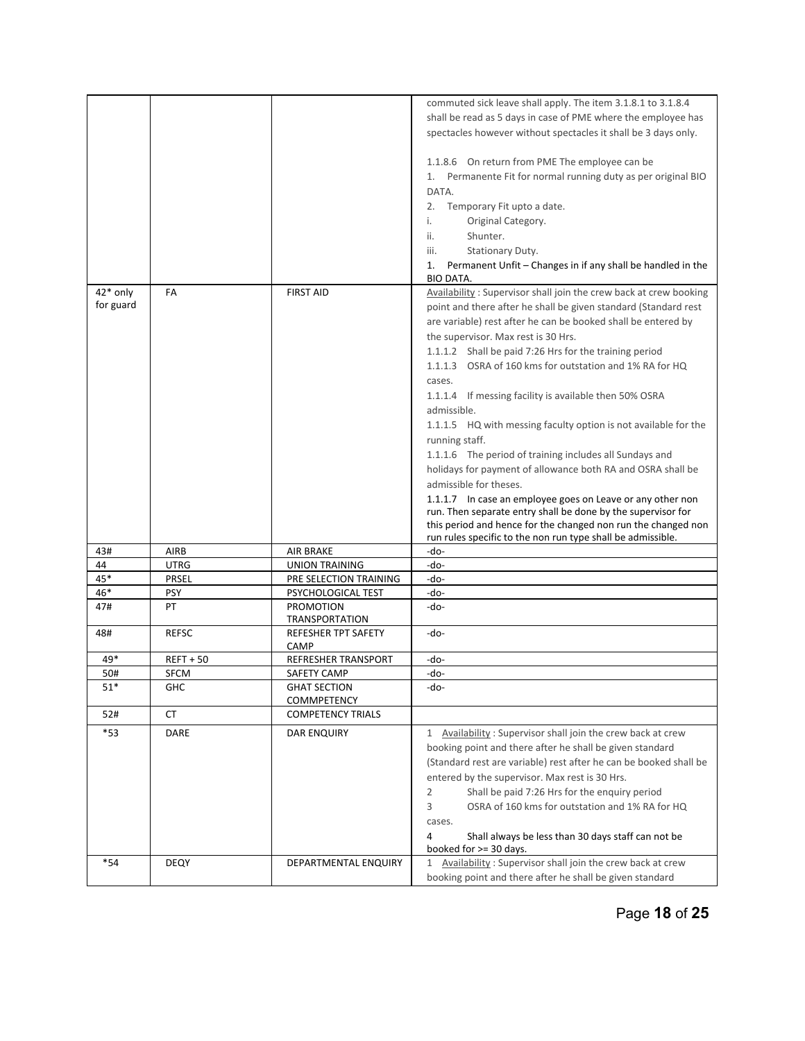|             |                      |                                              | commuted sick leave shall apply. The item 3.1.8.1 to 3.1.8.4                 |
|-------------|----------------------|----------------------------------------------|------------------------------------------------------------------------------|
|             |                      |                                              | shall be read as 5 days in case of PME where the employee has                |
|             |                      |                                              | spectacles however without spectacles it shall be 3 days only.               |
|             |                      |                                              |                                                                              |
|             |                      |                                              | 1.1.8.6 On return from PME The employee can be                               |
|             |                      |                                              | Permanente Fit for normal running duty as per original BIO<br>1.             |
|             |                      |                                              | DATA.                                                                        |
|             |                      |                                              | Temporary Fit upto a date.<br>2.                                             |
|             |                      |                                              | Original Category.<br>i.                                                     |
|             |                      |                                              | Shunter.<br>ii.                                                              |
|             |                      |                                              | Stationary Duty.<br>iii.                                                     |
|             |                      |                                              | Permanent Unfit - Changes in if any shall be handled in the<br>1.            |
|             |                      |                                              | <b>BIO DATA.</b>                                                             |
| 42* only    | FA                   | <b>FIRST AID</b>                             | Availability: Supervisor shall join the crew back at crew booking            |
| for guard   |                      |                                              | point and there after he shall be given standard (Standard rest              |
|             |                      |                                              | are variable) rest after he can be booked shall be entered by                |
|             |                      |                                              | the supervisor. Max rest is 30 Hrs.                                          |
|             |                      |                                              | 1.1.1.2 Shall be paid 7:26 Hrs for the training period                       |
|             |                      |                                              |                                                                              |
|             |                      |                                              | 1.1.1.3 OSRA of 160 kms for outstation and 1% RA for HQ                      |
|             |                      |                                              | cases.                                                                       |
|             |                      |                                              | 1.1.1.4 If messing facility is available then 50% OSRA                       |
|             |                      |                                              | admissible.                                                                  |
|             |                      |                                              | 1.1.1.5 HQ with messing faculty option is not available for the              |
|             |                      |                                              | running staff.                                                               |
|             |                      |                                              | 1.1.1.6 The period of training includes all Sundays and                      |
|             |                      |                                              | holidays for payment of allowance both RA and OSRA shall be                  |
|             |                      |                                              | admissible for theses.                                                       |
|             |                      |                                              | 1.1.1.7 In case an employee goes on Leave or any other non                   |
|             |                      |                                              | run. Then separate entry shall be done by the supervisor for                 |
|             |                      |                                              | this period and hence for the changed non run the changed non                |
|             |                      |                                              | run rules specific to the non run type shall be admissible.                  |
| 43#         | AIRB                 | <b>AIR BRAKE</b>                             | -do-                                                                         |
| 44<br>45*   | UTRG<br><b>PRSEL</b> | <b>UNION TRAINING</b>                        | -do-<br>-do-                                                                 |
| 46*         | <b>PSY</b>           | PRE SELECTION TRAINING<br>PSYCHOLOGICAL TEST | -do-                                                                         |
| 47#         | PT                   | <b>PROMOTION</b>                             | -do-                                                                         |
|             |                      | <b>TRANSPORTATION</b>                        |                                                                              |
| 48#         | <b>REFSC</b>         | <b>REFESHER TPT SAFETY</b>                   | -do-                                                                         |
|             |                      | <b>CAMP</b>                                  |                                                                              |
| 49*         | $REF+50$             | REFRESHER TRANSPORT                          | -do-                                                                         |
| 50#         | <b>SFCM</b>          | SAFETY CAMP                                  | -do-                                                                         |
| $51^{\ast}$ | <b>GHC</b>           | <b>GHAT SECTION</b>                          | -do-                                                                         |
|             |                      | COMMPETENCY                                  |                                                                              |
| 52#         | СT                   | <b>COMPETENCY TRIALS</b>                     |                                                                              |
| $*_{53}$    | DARE                 | DAR ENQUIRY                                  | 1 Availability: Supervisor shall join the crew back at crew                  |
|             |                      |                                              | booking point and there after he shall be given standard                     |
|             |                      |                                              | (Standard rest are variable) rest after he can be booked shall be            |
|             |                      |                                              | entered by the supervisor. Max rest is 30 Hrs.                               |
|             |                      |                                              | $\overline{2}$<br>Shall be paid 7:26 Hrs for the enquiry period              |
|             |                      |                                              | 3<br>OSRA of 160 kms for outstation and 1% RA for HQ                         |
|             |                      |                                              | cases.                                                                       |
|             |                      |                                              | 4                                                                            |
|             |                      |                                              | Shall always be less than 30 days staff can not be<br>booked for >= 30 days. |
| *54         | <b>DEQY</b>          | DEPARTMENTAL ENQUIRY                         | 1 Availability: Supervisor shall join the crew back at crew                  |
|             |                      |                                              | booking point and there after he shall be given standard                     |
|             |                      |                                              |                                                                              |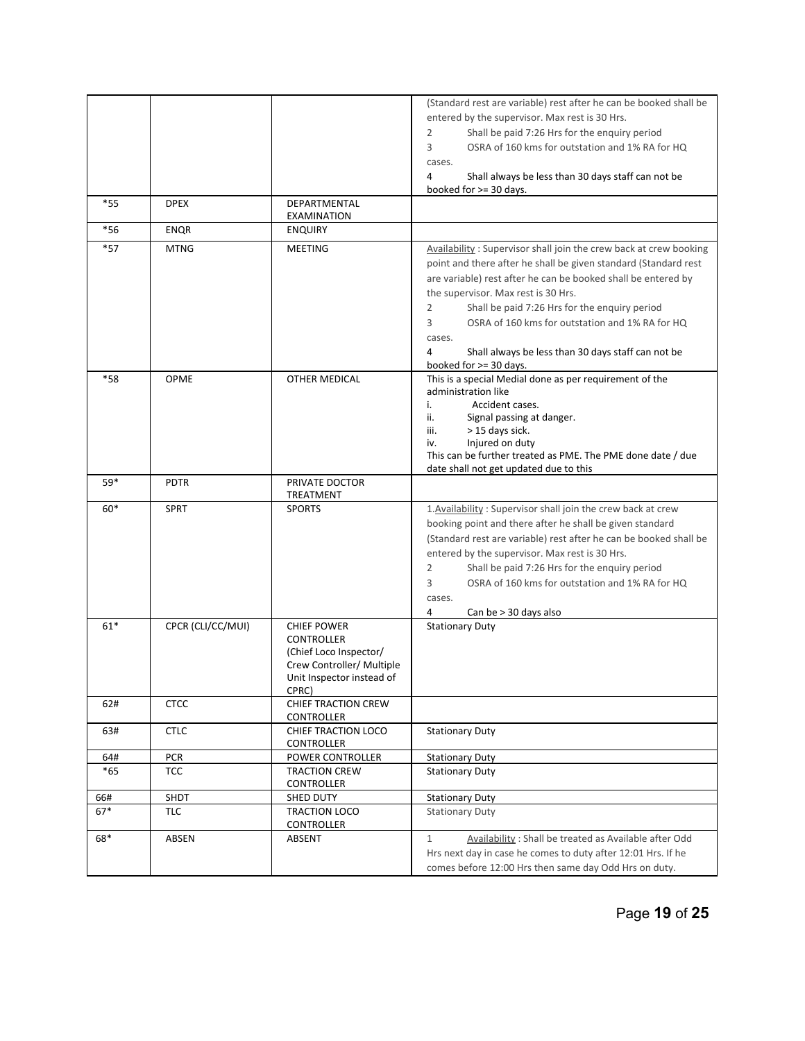|              |                   |                                          | (Standard rest are variable) rest after he can be booked shall be                 |
|--------------|-------------------|------------------------------------------|-----------------------------------------------------------------------------------|
|              |                   |                                          | entered by the supervisor. Max rest is 30 Hrs.                                    |
|              |                   |                                          | 2<br>Shall be paid 7:26 Hrs for the enquiry period                                |
|              |                   |                                          |                                                                                   |
|              |                   |                                          | 3<br>OSRA of 160 kms for outstation and 1% RA for HQ                              |
|              |                   |                                          | cases.                                                                            |
|              |                   |                                          | 4<br>Shall always be less than 30 days staff can not be<br>booked for >= 30 days. |
| $*55$        | <b>DPEX</b>       | DEPARTMENTAL                             |                                                                                   |
|              |                   | EXAMINATION                              |                                                                                   |
| $*56$        | <b>ENQR</b>       | <b>ENQUIRY</b>                           |                                                                                   |
| $*57$        | <b>MTNG</b>       | <b>MEETING</b>                           | Availability: Supervisor shall join the crew back at crew booking                 |
|              |                   |                                          | point and there after he shall be given standard (Standard rest                   |
|              |                   |                                          | are variable) rest after he can be booked shall be entered by                     |
|              |                   |                                          | the supervisor. Max rest is 30 Hrs.                                               |
|              |                   |                                          | Shall be paid 7:26 Hrs for the enquiry period<br>2                                |
|              |                   |                                          | 3<br>OSRA of 160 kms for outstation and 1% RA for HQ                              |
|              |                   |                                          | cases.                                                                            |
|              |                   |                                          | 4<br>Shall always be less than 30 days staff can not be                           |
|              |                   |                                          | booked for >= 30 days.                                                            |
| *58          | <b>OPME</b>       | OTHER MEDICAL                            | This is a special Medial done as per requirement of the                           |
|              |                   |                                          | administration like                                                               |
|              |                   |                                          | i.<br>Accident cases.                                                             |
|              |                   |                                          | ii.<br>Signal passing at danger.                                                  |
|              |                   |                                          | > 15 days sick.<br>iii.<br>Injured on duty                                        |
|              |                   |                                          | iv.<br>This can be further treated as PME. The PME done date / due                |
|              |                   |                                          | date shall not get updated due to this                                            |
| 59*          | <b>PDTR</b>       | PRIVATE DOCTOR                           |                                                                                   |
|              |                   | TREATMENT                                |                                                                                   |
| $60*$        | <b>SPRT</b>       | <b>SPORTS</b>                            | 1. Availability: Supervisor shall join the crew back at crew                      |
|              |                   |                                          | booking point and there after he shall be given standard                          |
|              |                   |                                          | (Standard rest are variable) rest after he can be booked shall be                 |
|              |                   |                                          | entered by the supervisor. Max rest is 30 Hrs.                                    |
|              |                   |                                          | Shall be paid 7:26 Hrs for the enquiry period<br>2                                |
|              |                   |                                          | OSRA of 160 kms for outstation and 1% RA for HQ<br>3                              |
|              |                   |                                          | cases.                                                                            |
|              |                   |                                          | 4<br>Can be > 30 days also                                                        |
| $61*$        | CPCR (CLI/CC/MUI) | <b>CHIEF POWER</b>                       | <b>Stationary Duty</b>                                                            |
|              |                   | <b>CONTROLLER</b>                        |                                                                                   |
|              |                   | (Chief Loco Inspector/                   |                                                                                   |
|              |                   | Crew Controller/ Multiple                |                                                                                   |
|              |                   | Unit Inspector instead of                |                                                                                   |
|              |                   | CPRC)                                    |                                                                                   |
| 62#          | <b>CTCC</b>       | <b>CHIEF TRACTION CREW</b><br>CONTROLLER |                                                                                   |
| 63#          | <b>CTLC</b>       | CHIEF TRACTION LOCO                      | <b>Stationary Duty</b>                                                            |
|              |                   | CONTROLLER                               |                                                                                   |
| 64#          | <b>PCR</b>        | POWER CONTROLLER                         | <b>Stationary Duty</b>                                                            |
| $*65$        | <b>TCC</b>        | <b>TRACTION CREW</b>                     | <b>Stationary Duty</b>                                                            |
|              |                   | CONTROLLER                               |                                                                                   |
| 66#<br>$67*$ | SHDT<br>TLC       | SHED DUTY<br>TRACTION LOCO               | <b>Stationary Duty</b><br><b>Stationary Duty</b>                                  |
|              |                   | <b>CONTROLLER</b>                        |                                                                                   |
| 68*          | <b>ABSEN</b>      | ABSENT                                   | Availability: Shall be treated as Available after Odd<br>$\mathbf{1}$             |
|              |                   |                                          | Hrs next day in case he comes to duty after 12:01 Hrs. If he                      |
|              |                   |                                          | comes before 12:00 Hrs then same day Odd Hrs on duty.                             |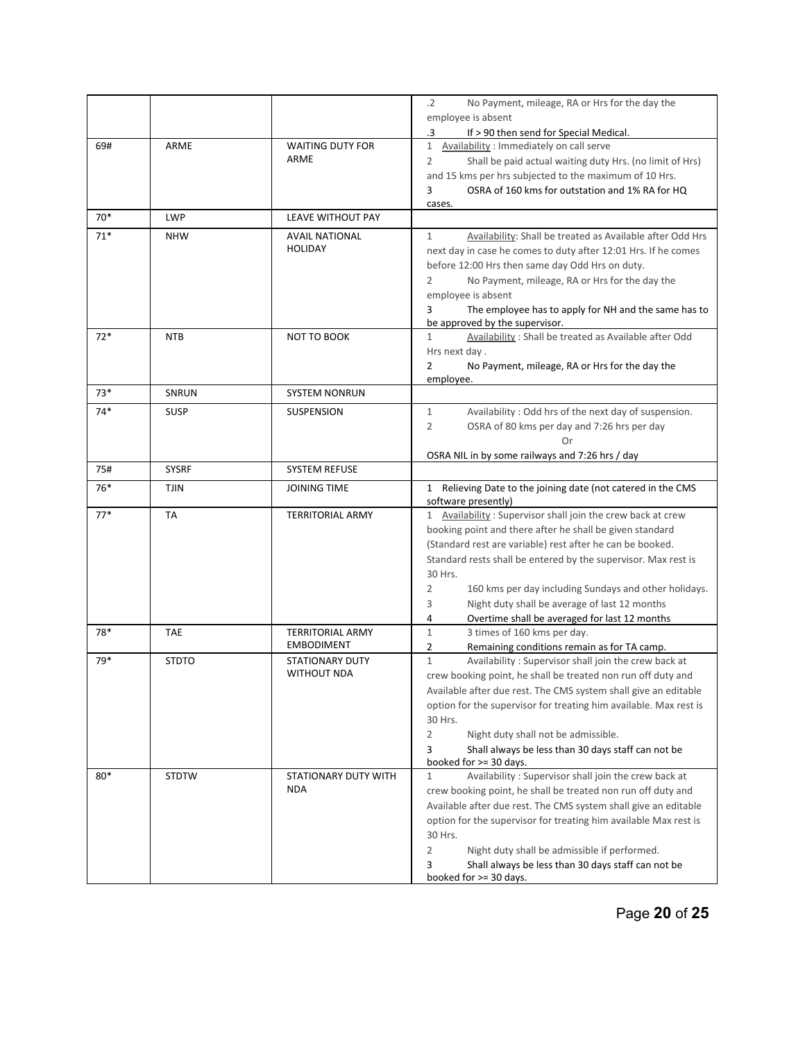|       |              |                                              | $\cdot$ .2<br>No Payment, mileage, RA or Hrs for the day the                                                             |
|-------|--------------|----------------------------------------------|--------------------------------------------------------------------------------------------------------------------------|
|       |              |                                              | employee is absent                                                                                                       |
|       |              |                                              | .3<br>If > 90 then send for Special Medical.                                                                             |
| 69#   | ARME         | <b>WAITING DUTY FOR</b>                      | $\mathbf{1}$<br>Availability: Immediately on call serve                                                                  |
|       |              | ARME                                         | $\overline{2}$<br>Shall be paid actual waiting duty Hrs. (no limit of Hrs)                                               |
|       |              |                                              | and 15 kms per hrs subjected to the maximum of 10 Hrs.                                                                   |
|       |              |                                              | OSRA of 160 kms for outstation and 1% RA for HQ<br>3                                                                     |
|       |              |                                              | cases.                                                                                                                   |
| $70*$ | <b>LWP</b>   | LEAVE WITHOUT PAY                            |                                                                                                                          |
| $71*$ | <b>NHW</b>   | <b>AVAIL NATIONAL</b>                        | Availability: Shall be treated as Available after Odd Hrs<br>$\mathbf{1}$                                                |
|       |              | <b>HOLIDAY</b>                               | next day in case he comes to duty after 12:01 Hrs. If he comes                                                           |
|       |              |                                              | before 12:00 Hrs then same day Odd Hrs on duty.                                                                          |
|       |              |                                              | 2<br>No Payment, mileage, RA or Hrs for the day the                                                                      |
|       |              |                                              | employee is absent                                                                                                       |
|       |              |                                              | The employee has to apply for NH and the same has to<br>3                                                                |
| $72*$ | <b>NTB</b>   | NOT TO BOOK                                  | be approved by the supervisor.<br>Availability: Shall be treated as Available after Odd<br>$\mathbf{1}$                  |
|       |              |                                              | Hrs next day.                                                                                                            |
|       |              |                                              | $\overline{2}$<br>No Payment, mileage, RA or Hrs for the day the                                                         |
|       |              |                                              | employee.                                                                                                                |
| $73*$ | SNRUN        | <b>SYSTEM NONRUN</b>                         |                                                                                                                          |
| $74*$ | <b>SUSP</b>  | <b>SUSPENSION</b>                            | $\mathbf{1}$<br>Availability: Odd hrs of the next day of suspension.                                                     |
|       |              |                                              | $\overline{2}$<br>OSRA of 80 kms per day and 7:26 hrs per day                                                            |
|       |              |                                              | Or                                                                                                                       |
|       |              |                                              | OSRA NIL in by some railways and 7:26 hrs / day                                                                          |
| 75#   | <b>SYSRF</b> | <b>SYSTEM REFUSE</b>                         |                                                                                                                          |
| 76*   | <b>TJIN</b>  | <b>JOINING TIME</b>                          | 1 Relieving Date to the joining date (not catered in the CMS                                                             |
|       |              |                                              | software presently)                                                                                                      |
| $77*$ | <b>TA</b>    | <b>TERRITORIAL ARMY</b>                      | 1 Availability: Supervisor shall join the crew back at crew                                                              |
|       |              |                                              | booking point and there after he shall be given standard                                                                 |
|       |              |                                              | (Standard rest are variable) rest after he can be booked.                                                                |
|       |              |                                              | Standard rests shall be entered by the supervisor. Max rest is                                                           |
|       |              |                                              | 30 Hrs.                                                                                                                  |
|       |              |                                              | $\overline{2}$<br>160 kms per day including Sundays and other holidays.                                                  |
|       |              |                                              | 3<br>Night duty shall be average of last 12 months                                                                       |
|       |              |                                              | Overtime shall be averaged for last 12 months<br>4                                                                       |
| 78*   | <b>TAE</b>   | <b>TERRITORIAL ARMY</b><br><b>EMBODIMENT</b> | $\mathbf{1}$<br>3 times of 160 kms per day.                                                                              |
| 79*   | <b>STDTO</b> | <b>STATIONARY DUTY</b>                       | Remaining conditions remain as for TA camp.<br>2<br>$\mathbf{1}$<br>Availability: Supervisor shall join the crew back at |
|       |              | <b>WITHOUT NDA</b>                           | crew booking point, he shall be treated non run off duty and                                                             |
|       |              |                                              | Available after due rest. The CMS system shall give an editable                                                          |
|       |              |                                              | option for the supervisor for treating him available. Max rest is                                                        |
|       |              |                                              | 30 Hrs.                                                                                                                  |
|       |              |                                              | 2<br>Night duty shall not be admissible.                                                                                 |
|       |              |                                              | 3<br>Shall always be less than 30 days staff can not be                                                                  |
|       |              |                                              | booked for $>=$ 30 days.                                                                                                 |
| 80*   | <b>STDTW</b> | STATIONARY DUTY WITH                         | Availability: Supervisor shall join the crew back at<br>$\mathbf{1}$                                                     |
|       |              | <b>NDA</b>                                   | crew booking point, he shall be treated non run off duty and                                                             |
|       |              |                                              | Available after due rest. The CMS system shall give an editable                                                          |
|       |              |                                              | option for the supervisor for treating him available Max rest is                                                         |
|       |              |                                              | 30 Hrs.                                                                                                                  |
|       |              |                                              | $\sqrt{2}$<br>Night duty shall be admissible if performed.                                                               |
|       |              |                                              | Shall always be less than 30 days staff can not be<br>3                                                                  |
|       |              |                                              | booked for >= 30 days.                                                                                                   |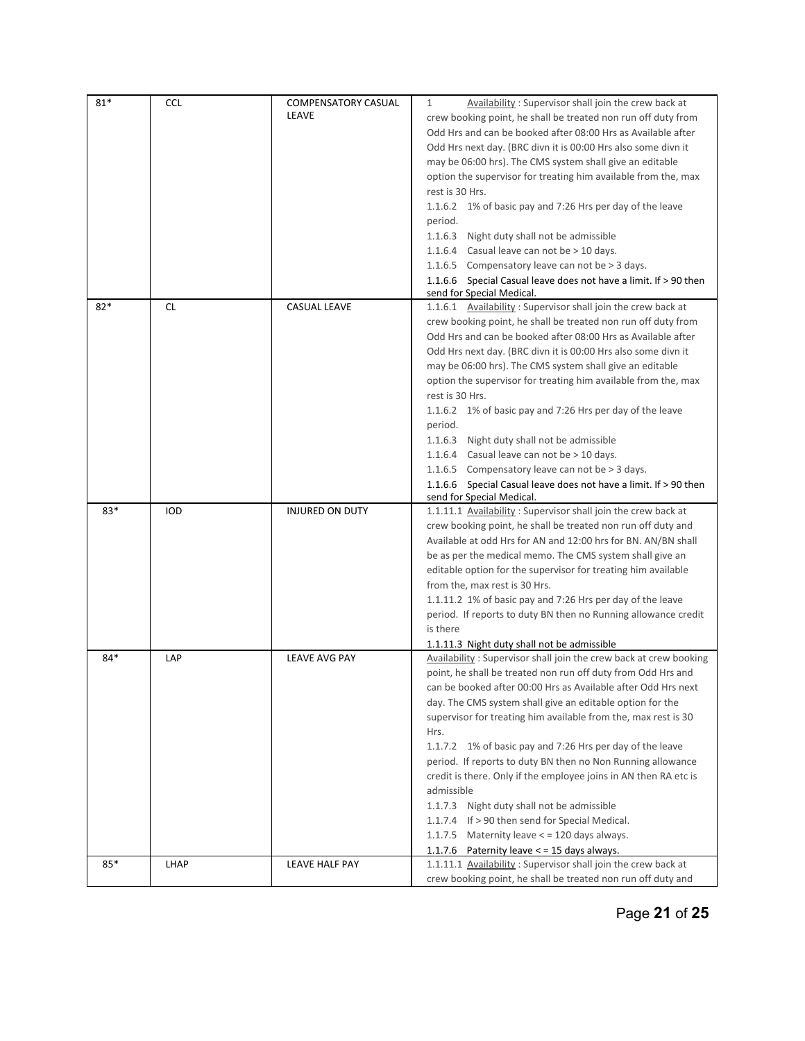| $81*$ | <b>CCL</b>  | <b>COMPENSATORY CASUAL</b> | Availability: Supervisor shall join the crew back at<br>$\mathbf{1}$ |
|-------|-------------|----------------------------|----------------------------------------------------------------------|
|       |             | LEAVE                      | crew booking point, he shall be treated non run off duty from        |
|       |             |                            | Odd Hrs and can be booked after 08:00 Hrs as Available after         |
|       |             |                            | Odd Hrs next day. (BRC divn it is 00:00 Hrs also some divn it        |
|       |             |                            |                                                                      |
|       |             |                            | may be 06:00 hrs). The CMS system shall give an editable             |
|       |             |                            | option the supervisor for treating him available from the, max       |
|       |             |                            | rest is 30 Hrs.                                                      |
|       |             |                            | 1.1.6.2 1% of basic pay and 7:26 Hrs per day of the leave            |
|       |             |                            | period.                                                              |
|       |             |                            | 1.1.6.3 Night duty shall not be admissible                           |
|       |             |                            | 1.1.6.4 Casual leave can not be > 10 days.                           |
|       |             |                            | 1.1.6.5 Compensatory leave can not be > 3 days.                      |
|       |             |                            | 1.1.6.6 Special Casual leave does not have a limit. If > 90 then     |
|       |             |                            | send for Special Medical.                                            |
| $82*$ | <b>CL</b>   | <b>CASUAL LEAVE</b>        | 1.1.6.1 Availability: Supervisor shall join the crew back at         |
|       |             |                            | crew booking point, he shall be treated non run off duty from        |
|       |             |                            | Odd Hrs and can be booked after 08:00 Hrs as Available after         |
|       |             |                            | Odd Hrs next day. (BRC divn it is 00:00 Hrs also some divn it        |
|       |             |                            | may be 06:00 hrs). The CMS system shall give an editable             |
|       |             |                            | option the supervisor for treating him available from the, max       |
|       |             |                            | rest is 30 Hrs.                                                      |
|       |             |                            |                                                                      |
|       |             |                            | 1.1.6.2 1% of basic pay and 7:26 Hrs per day of the leave            |
|       |             |                            | period.                                                              |
|       |             |                            | 1.1.6.3 Night duty shall not be admissible                           |
|       |             |                            | 1.1.6.4 Casual leave can not be > 10 days.                           |
|       |             |                            | 1.1.6.5 Compensatory leave can not be > 3 days.                      |
|       |             |                            | 1.1.6.6 Special Casual leave does not have a limit. If > 90 then     |
|       |             |                            | send for Special Medical.                                            |
| 83*   | IOD         | <b>INJURED ON DUTY</b>     | 1.1.11.1 Availability: Supervisor shall join the crew back at        |
|       |             |                            | crew booking point, he shall be treated non run off duty and         |
|       |             |                            | Available at odd Hrs for AN and 12:00 hrs for BN. AN/BN shall        |
|       |             |                            | be as per the medical memo. The CMS system shall give an             |
|       |             |                            | editable option for the supervisor for treating him available        |
|       |             |                            | from the, max rest is 30 Hrs.                                        |
|       |             |                            | 1.1.11.2 1% of basic pay and 7:26 Hrs per day of the leave           |
|       |             |                            | period. If reports to duty BN then no Running allowance credit       |
|       |             |                            | is there                                                             |
|       |             |                            | 1.1.11.3 Night duty shall not be admissible                          |
| 84*   | LAP         | <b>LEAVE AVG PAY</b>       | Availability: Supervisor shall join the crew back at crew booking    |
|       |             |                            | point, he shall be treated non run off duty from Odd Hrs and         |
|       |             |                            | can be booked after 00:00 Hrs as Available after Odd Hrs next        |
|       |             |                            | day. The CMS system shall give an editable option for the            |
|       |             |                            | supervisor for treating him available from the, max rest is 30       |
|       |             |                            | Hrs.                                                                 |
|       |             |                            |                                                                      |
|       |             |                            | 1.1.7.2 1% of basic pay and 7:26 Hrs per day of the leave            |
|       |             |                            | period. If reports to duty BN then no Non Running allowance          |
|       |             |                            | credit is there. Only if the employee joins in AN then RA etc is     |
|       |             |                            | admissible                                                           |
|       |             |                            | 1.1.7.3 Night duty shall not be admissible                           |
|       |             |                            | 1.1.7.4 If > 90 then send for Special Medical.                       |
|       |             |                            | 1.1.7.5 Maternity leave $\lt$ = 120 days always.                     |
|       |             |                            | 1.1.7.6 Paternity leave $\lt$ = 15 days always.                      |
| 85*   | <b>LHAP</b> | LEAVE HALF PAY             | 1.1.11.1 Availability: Supervisor shall join the crew back at        |
|       |             |                            | crew booking point, he shall be treated non run off duty and         |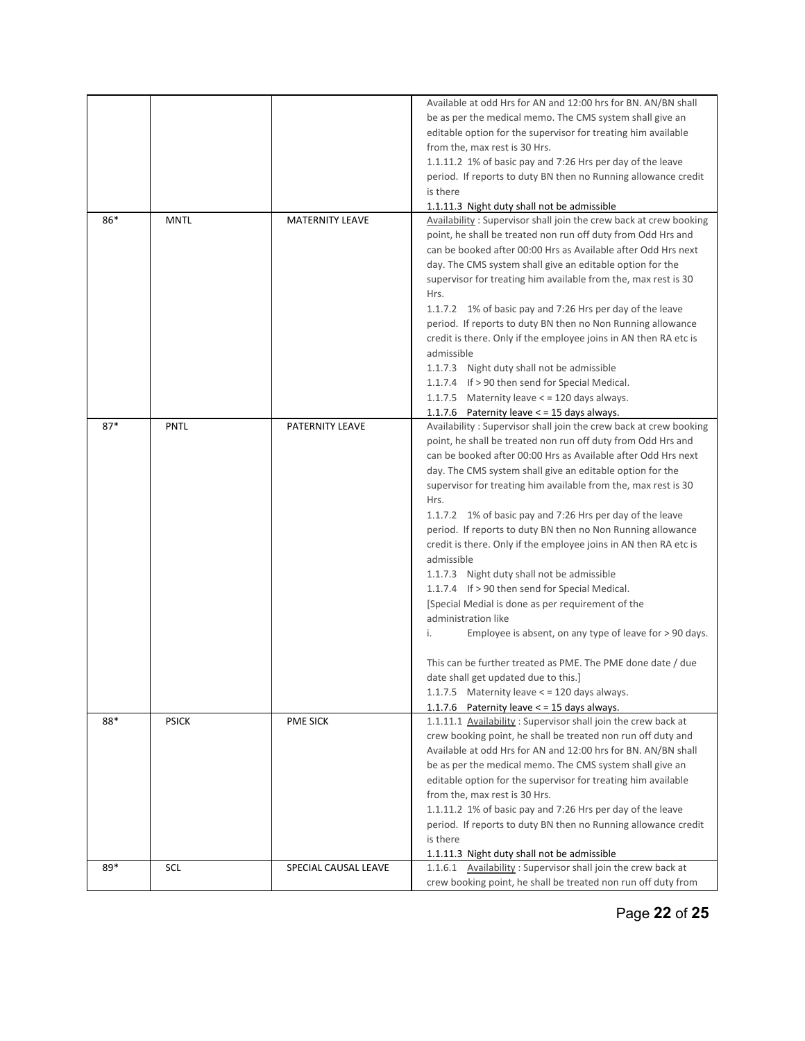|       |              |                        | Available at odd Hrs for AN and 12:00 hrs for BN. AN/BN shall     |
|-------|--------------|------------------------|-------------------------------------------------------------------|
|       |              |                        | be as per the medical memo. The CMS system shall give an          |
|       |              |                        | editable option for the supervisor for treating him available     |
|       |              |                        |                                                                   |
|       |              |                        | from the, max rest is 30 Hrs.                                     |
|       |              |                        | 1.1.11.2 1% of basic pay and 7:26 Hrs per day of the leave        |
|       |              |                        | period. If reports to duty BN then no Running allowance credit    |
|       |              |                        | is there                                                          |
|       |              |                        | 1.1.11.3 Night duty shall not be admissible                       |
| 86*   | <b>MNTL</b>  | <b>MATERNITY LEAVE</b> | Availability: Supervisor shall join the crew back at crew booking |
|       |              |                        | point, he shall be treated non run off duty from Odd Hrs and      |
|       |              |                        | can be booked after 00:00 Hrs as Available after Odd Hrs next     |
|       |              |                        | day. The CMS system shall give an editable option for the         |
|       |              |                        | supervisor for treating him available from the, max rest is 30    |
|       |              |                        | Hrs.                                                              |
|       |              |                        | 1.1.7.2 1% of basic pay and 7:26 Hrs per day of the leave         |
|       |              |                        | period. If reports to duty BN then no Non Running allowance       |
|       |              |                        | credit is there. Only if the employee joins in AN then RA etc is  |
|       |              |                        | admissible                                                        |
|       |              |                        | 1.1.7.3 Night duty shall not be admissible                        |
|       |              |                        | 1.1.7.4 If > 90 then send for Special Medical.                    |
|       |              |                        | 1.1.7.5 Maternity leave $\lt$ = 120 days always.                  |
|       |              |                        | 1.1.7.6 Paternity leave $\lt$ = 15 days always.                   |
| $87*$ | <b>PNTL</b>  | PATERNITY LEAVE        | Availability: Supervisor shall join the crew back at crew booking |
|       |              |                        | point, he shall be treated non run off duty from Odd Hrs and      |
|       |              |                        | can be booked after 00:00 Hrs as Available after Odd Hrs next     |
|       |              |                        | day. The CMS system shall give an editable option for the         |
|       |              |                        | supervisor for treating him available from the, max rest is 30    |
|       |              |                        | Hrs.                                                              |
|       |              |                        | 1.1.7.2 1% of basic pay and 7:26 Hrs per day of the leave         |
|       |              |                        | period. If reports to duty BN then no Non Running allowance       |
|       |              |                        | credit is there. Only if the employee joins in AN then RA etc is  |
|       |              |                        | admissible                                                        |
|       |              |                        | 1.1.7.3 Night duty shall not be admissible                        |
|       |              |                        | 1.1.7.4 If > 90 then send for Special Medical.                    |
|       |              |                        | [Special Medial is done as per requirement of the                 |
|       |              |                        | administration like                                               |
|       |              |                        | Employee is absent, on any type of leave for > 90 days.<br>i.     |
|       |              |                        |                                                                   |
|       |              |                        | This can be further treated as PME. The PME done date / due       |
|       |              |                        | date shall get updated due to this.]                              |
|       |              |                        | 1.1.7.5 Maternity leave $\lt$ = 120 days always.                  |
|       |              |                        | 1.1.7.6 Paternity leave < = 15 days always.                       |
| 88*   | <b>PSICK</b> | <b>PME SICK</b>        | 1.1.11.1 Availability: Supervisor shall join the crew back at     |
|       |              |                        | crew booking point, he shall be treated non run off duty and      |
|       |              |                        | Available at odd Hrs for AN and 12:00 hrs for BN. AN/BN shall     |
|       |              |                        | be as per the medical memo. The CMS system shall give an          |
|       |              |                        | editable option for the supervisor for treating him available     |
|       |              |                        | from the, max rest is 30 Hrs.                                     |
|       |              |                        | 1.1.11.2 1% of basic pay and 7:26 Hrs per day of the leave        |
|       |              |                        | period. If reports to duty BN then no Running allowance credit    |
|       |              |                        | is there                                                          |
|       |              |                        | 1.1.11.3 Night duty shall not be admissible                       |
| 89*   | <b>SCL</b>   | SPECIAL CAUSAL LEAVE   | 1.1.6.1 Availability: Supervisor shall join the crew back at      |
|       |              |                        | crew booking point, he shall be treated non run off duty from     |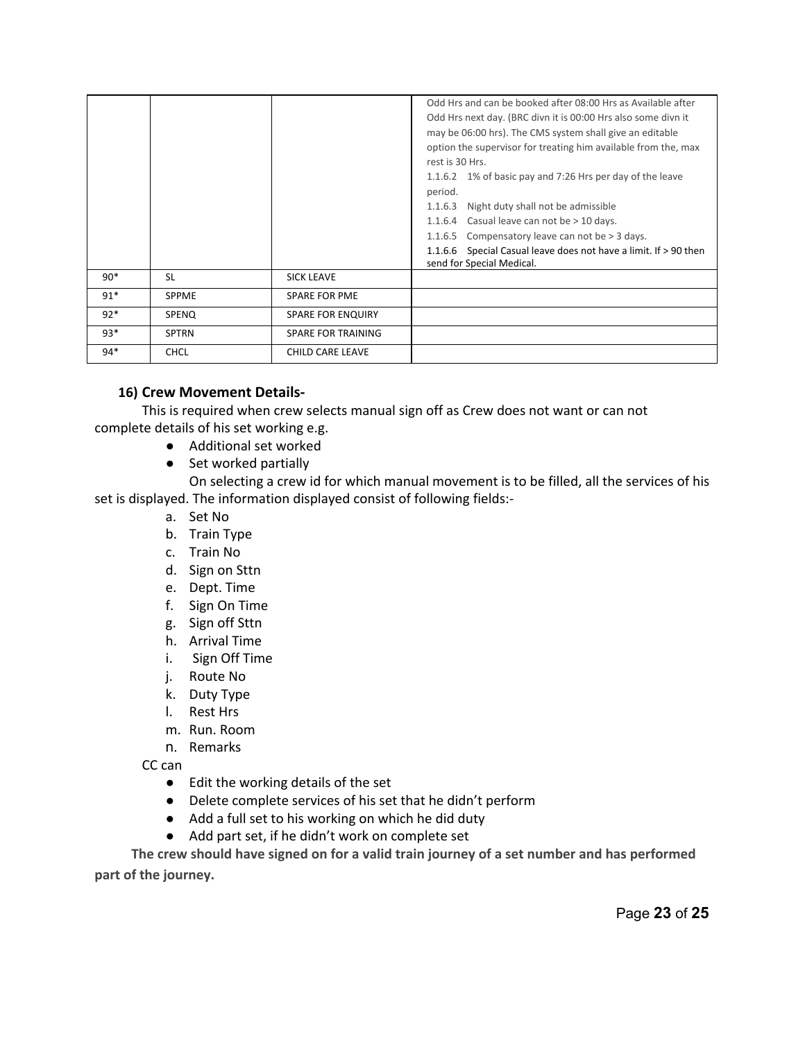|       |              |                           | Odd Hrs and can be booked after 08:00 Hrs as Available after<br>Odd Hrs next day. (BRC divn it is 00:00 Hrs also some divn it<br>may be 06:00 hrs). The CMS system shall give an editable<br>option the supervisor for treating him available from the, max<br>rest is 30 Hrs.<br>1.1.6.2 1% of basic pay and 7:26 Hrs per day of the leave<br>period.<br>Night duty shall not be admissible<br>1.1.6.3<br>Casual leave can not be > 10 days.<br>1.1.6.4<br>Compensatory leave can not be > 3 days.<br>1.1.6.5<br>Special Casual leave does not have a limit. If > 90 then<br>1.1.6.6<br>send for Special Medical. |
|-------|--------------|---------------------------|--------------------------------------------------------------------------------------------------------------------------------------------------------------------------------------------------------------------------------------------------------------------------------------------------------------------------------------------------------------------------------------------------------------------------------------------------------------------------------------------------------------------------------------------------------------------------------------------------------------------|
| $90*$ | <b>SL</b>    | <b>SICK LEAVE</b>         |                                                                                                                                                                                                                                                                                                                                                                                                                                                                                                                                                                                                                    |
| $91*$ | <b>SPPME</b> | <b>SPARE FOR PME</b>      |                                                                                                                                                                                                                                                                                                                                                                                                                                                                                                                                                                                                                    |
| $92*$ | SPENQ        | <b>SPARE FOR ENQUIRY</b>  |                                                                                                                                                                                                                                                                                                                                                                                                                                                                                                                                                                                                                    |
| $93*$ | <b>SPTRN</b> | <b>SPARE FOR TRAINING</b> |                                                                                                                                                                                                                                                                                                                                                                                                                                                                                                                                                                                                                    |
| $94*$ | <b>CHCL</b>  | <b>CHILD CARE LEAVE</b>   |                                                                                                                                                                                                                                                                                                                                                                                                                                                                                                                                                                                                                    |

#### **16) Crew Movement Details-**

This is required when crew selects manual sign off as Crew does not want or can not complete details of his set working e.g.

- Additional set worked
- Set worked partially

On selecting a crew id for which manual movement is to be filled, all the services of his set is displayed. The information displayed consist of following fields:

- a. Set No
- b. Train Type
- c. Train No
- d. Sign on Sttn
- e. Dept. Time
- f. Sign On Time
- g. Sign off Sttn
- h. Arrival Time
- i. Sign Off Time
- j. Route No
- k. Duty Type
- l. Rest Hrs
- m. Run. Room
- n. Remarks

CC can

- Edit the working details of the set
- Delete complete services of his set that he didn't perform
- Add a full set to his working on which he did duty
- Add part set, if he didn't work on complete set

 **The crew should have signed on for a valid train journey of a set number and has performed part of the journey.**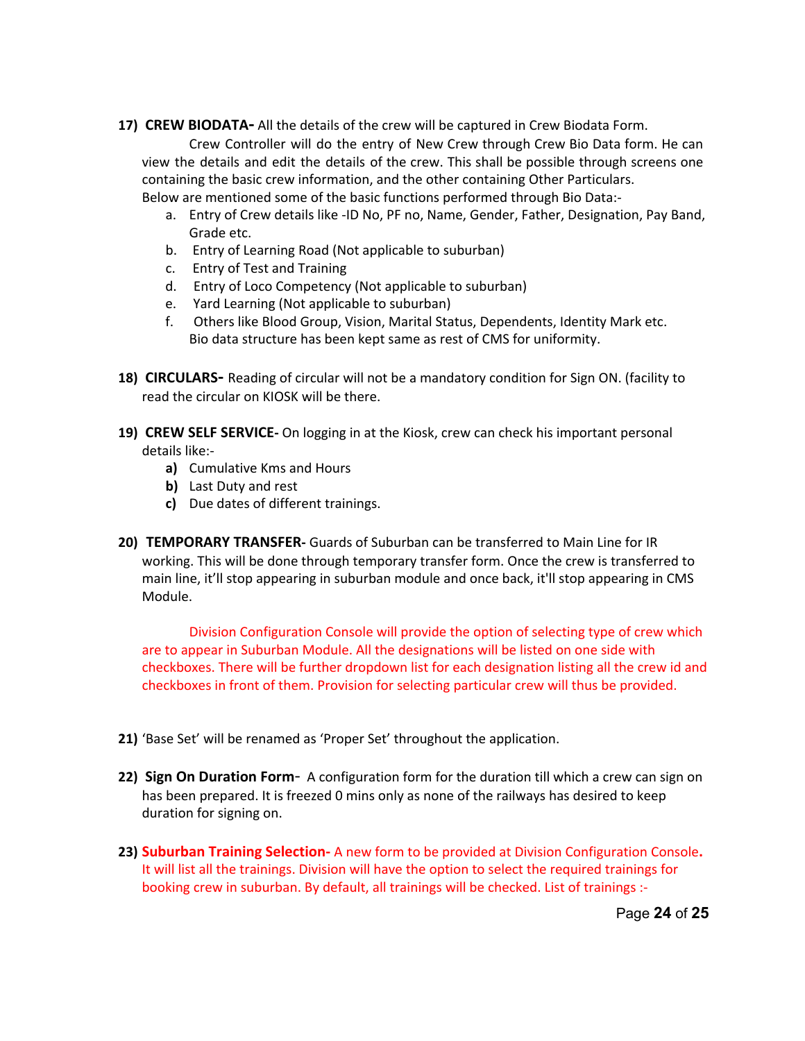17) CREW BIODATA- All the details of the crew will be captured in Crew Biodata Form.

Crew Controller will do the entry of New Crew through Crew Bio Data form. He can view the details and edit the details of the crew. This shall be possible through screens one containing the basic crew information, and the other containing Other Particulars. Below are mentioned some of the basic functions performed through Bio Data:

- a. Entry of Crew details like -ID No, PF no, Name, Gender, Father, Designation, Pay Band, Grade etc.
- b. Entry of Learning Road (Not applicable to suburban)
- c. Entry of Test and Training
- d. Entry of Loco Competency (Not applicable to suburban)
- e. Yard Learning (Not applicable to suburban)
- f. Others like Blood Group, Vision, Marital Status, Dependents, Identity Mark etc. Bio data structure has been kept same as rest of CMS for uniformity.
- **18) CIRCULARS** Reading of circular will not be a mandatory condition for Sign ON. (facility to read the circular on KIOSK will be there.
- **19) CREW SELF SERVICE** On logging in at the Kiosk, crew can check his important personal details like:
	- **a)** Cumulative Kms and Hours
	- **b)** Last Duty and rest
	- **c)** Due dates of different trainings.
- **20) TEMPORARY TRANSFER** Guards of Suburban can be transferred to Main Line for IR working. This will be done through temporary transfer form. Once the crew is transferred to main line, it'll stop appearing in suburban module and once back, it'll stop appearing in CMS Module.

Division Configuration Console will provide the option of selecting type of crew which are to appear in Suburban Module. All the designations will be listed on one side with checkboxes. There will be further dropdown list for each designation listing all the crew id and checkboxes in front of them. Provision for selecting particular crew will thus be provided.

- **21)** 'Base Set' will be renamed as 'Proper Set' throughout the application.
- **22) Sign On Duration Form** A configuration form for the duration till which a crew can sign on has been prepared. It is freezed 0 mins only as none of the railways has desired to keep duration for signing on.
- 23) **Suburban Training Selection** A new form to be provided at Division Configuration Console. It will list all the trainings. Division will have the option to select the required trainings for booking crew in suburban. By default, all trainings will be checked. List of trainings :